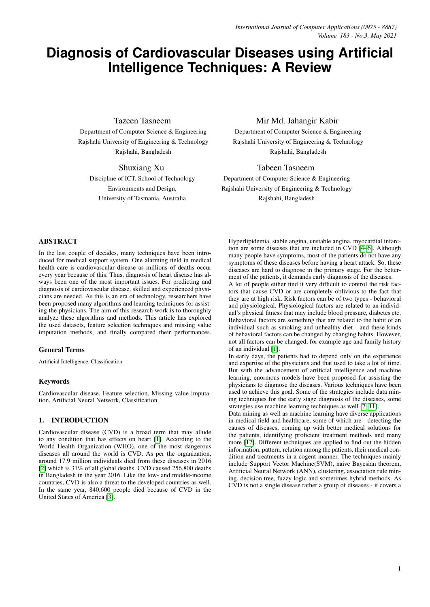# **Diagnosis of Cardiovascular Diseases using Artificial Intelligence Techniques: A Review**

Tazeen Tasneem

Department of Computer Science & Engineering Rajshahi University of Engineering & Technology Rajshahi, Bangladesh

Shuxiang Xu Discipline of ICT, School of Technology Environments and Design, University of Tasmania, Australia

# Mir Md. Jahangir Kabir

Department of Computer Science & Engineering Rajshahi University of Engineering & Technology Rajshahi, Bangladesh

Tabeen Tasneem

Department of Computer Science & Engineering Rajshahi University of Engineering & Technology Rajshahi, Bangladesh

# ABSTRACT

In the last couple of decades, many techniques have been introduced for medical support system. One alarming field in medical health care is cardiovascular disease as millions of deaths occur every year because of this. Thus, diagnosis of heart disease has always been one of the most important issues. For predicting and diagnosis of cardiovascular disease, skilled and experienced physicians are needed. As this is an era of technology, researchers have been proposed many algorithms and learning techniques for assisting the physicians. The aim of this research work is to thoroughly analyze these algorithms and methods. This article has explored the used datasets, feature selection techniques and missing value imputation methods, and finally compared their performances.

## General Terms

Artificial Intelligence, Classification

## Keywords

Cardiovascular disease, Feature selection, Missing value imputation, Artificial Neural Network, Classification

# 1. INTRODUCTION

Cardiovascular disease (CVD) is a broad term that may allude to any condition that has effects on heart [\[1\]](#page-12-0). According to the World Health Organization (WHO), one of the most dangerous diseases all around the world is CVD. As per the organization, around 17.9 million individuals died from these diseases in 2016 [\[2\]](#page-12-1) which is 31% of all global deaths. CVD caused 256,800 deaths in Bangladesh in the year 2016. Like the low- and middle-income countries, CVD is also a threat to the developed countries as well. In the same year, 840,600 people died because of CVD in the United States of America [\[3\]](#page-12-2).

Hyperlipidemia, stable angina, unstable angina, myocardial infarction are some diseases that are included in CVD [\[4](#page-12-3)[–6\]](#page-12-4). Although many people have symptoms, most of the patients do not have any symptoms of these diseases before having a heart attack. So, these diseases are hard to diagnose in the primary stage. For the betterment of the patients, it demands early diagnosis of the diseases.

A lot of people either find it very difficult to control the risk factors that cause CVD or are completely oblivious to the fact that they are at high risk. Risk factors can be of two types - behavioral and physiological. Physiological factors are related to an individual's physical fitness that may include blood pressure, diabetes etc. Behavioral factors are something that are related to the habit of an individual such as smoking and unhealthy diet - and these kinds of behavioral factors can be changed by changing habits. However, not all factors can be changed, for example age and family history of an individual [\[1\]](#page-12-0).

In early days, the patients had to depend only on the experience and expertise of the physicians and that used to take a lot of time. But with the advancement of artificial intelligence and machine learning, enormous models have been proposed for assisting the physicians to diagnose the diseases. Various techniques have been used to achieve this goal. Some of the strategies include data mining techniques for the early stage diagnosis of the diseases, some strategies use machine learning techniques as well [\[7–](#page-12-5)[11\]](#page-12-6).

Data mining as well as machine learning have diverse applications in medical field and healthcare, some of which are - detecting the causes of diseases, coming up with better medical solutions for the patients, identifying proficient treatment methods and many more [\[12\]](#page-12-7). Different techniques are applied to find out the hidden information, pattern, relation among the patients, their medical condition and treatments in a cogent manner. The techniques mainly include Support Vector Machine(SVM), naive Bayesian theorem, Artificial Neural Network (ANN), clustering, association rule mining, decision tree, fuzzy logic and sometimes hybrid methods. As CVD is not a single disease rather a group of diseases - it covers a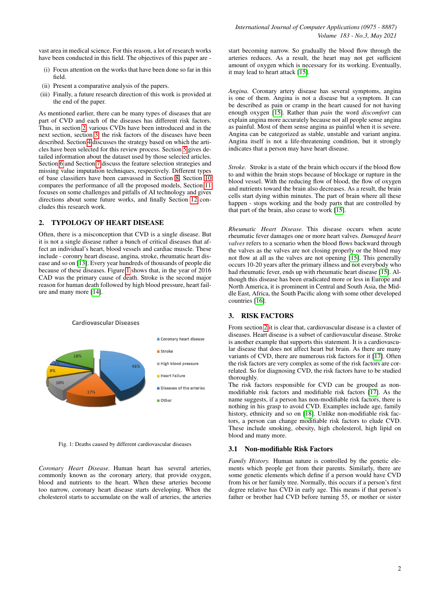vast area in medical science. For this reason, a lot of research works have been conducted in this field. The objectives of this paper are -

- (i) Focus attention on the works that have been done so far in this field.
- (ii) Present a comparative analysis of the papers.
- (iii) Finally, a future research direction of this work is provided at the end of the paper.

As mentioned earlier, there can be many types of diseases that are part of CVD and each of the diseases has different risk factors. Thus, in section [2,](#page-1-0) various CVDs have been introduced and in the next section, section [3,](#page-1-1) the risk factors of the diseases have been described. Section [4](#page-3-0) discusses the strategy based on which the articles have been selected for this review process. Section [5](#page-3-1) gives detailed information about the dataset used by those selected articles. Section [6](#page-5-0) and Section [7](#page-6-0) discuss the feature selection strategies and missing value imputation techniques, respectively. Different types of base classifiers have been canvassed in Section [8.](#page-6-1) Section [10](#page-10-0) compares the performance of all the proposed models, Section [11](#page-11-0) focuses on some challenges and pitfalls of AI technology and gives directions about some future works, and finally Section [12](#page-12-8) concludes this research work.

## <span id="page-1-0"></span>2. TYPOLOGY OF HEART DISEASE

Often, there is a misconception that CVD is a single disease. But it is not a single disease rather a bunch of critical diseases that affect an individual's heart, blood vessels and cardiac muscle. These include - coronry heart disease, angina, stroke, rheumatic heart disease and so on [\[13\]](#page-12-9). Every year hundreds of thousands of people die because of these diseases. Figure [1](#page-1-2) shows that, in the year of 2016 CAD was the primary cause of death. Stroke is the second major reason for human death followed by high blood pressure, heart failure and many more [\[14\]](#page-12-10).

<span id="page-1-2"></span>

Fig. 1: Deaths caused by different cardiovascular diseases

*Coronary Heart Disease.* Human heart has several arteries, commonly known as the coronary artery, that provide oxygen, blood and nutrients to the heart. When these arteries become too narrow, coronary heart disease starts developing. When the cholesterol starts to accumulate on the wall of arteries, the arteries

start becoming narrow. So gradually the blood flow through the arteries reduces. As a result, the heart may not get sufficient amount of oxygen which is necessary for its working. Eventually, it may lead to heart attack [\[15\]](#page-12-11).

*Angina.* Coronary artery disease has several symptoms, angina is one of them. Angina is not a disease but a symptom. It can be described as pain or cramp in the heart caused for not having enough oxygen [\[15\]](#page-12-11). Rather than *pain* the word *discomfort* can explain angina more accurately because not all people sense angina as painful. Most of them sense angina as painful when it is severe. Angina can be categorized as stable, unstable and variant angina. Angina itself is not a life-threatening condition, but it strongly indicates that a person may have heart disease.

*Stroke.* Stroke is a state of the brain which occurs if the blood flow to and within the brain stops because of blockage or rupture in the blood vessel. With the reducing flow of blood, the flow of oxygen and nutrients toward the brain also decreases. As a result, the brain cells start dying within minutes. The part of brain where all these happen - stops working and the body parts that are controlled by that part of the brain, also cease to work [\[15\]](#page-12-11).

*Rheumatic Heart Disease.* This disease occurs when acute rheumatic fever damages one or more heart valves. *Damaged heart valves* refers to a scenario when the blood flows backward through the valves as the valves are not closing properly or the blood may not flow at all as the valves are not opening [\[15\]](#page-12-11). This generally occurs 10-20 years after the primary illness and not everybody who had rheumatic fever, ends up with rheumatic heart disease [\[15\]](#page-12-11). Although this disease has been eradicated more or less in Europe and North America, it is prominent in Central and South Asia, the Middle East, Africa, the South Pacific along with some other developed countries [\[16\]](#page-12-12).

## <span id="page-1-1"></span>3. RISK FACTORS

From section [2](#page-1-0) it is clear that, cardiovascular disease is a cluster of diseases. Heart disease is a subset of cardiovascular disease. Stroke is another example that supports this statement. It is a cardiovascular disease that does not affect heart but brain. As there are many variants of CVD, there are numerous risk factors for it [\[17\]](#page-12-13). Often the risk factors are very complex as some of the risk factors are correlated. So for diagnosing CVD, the risk factors have to be studied thoroughly.

The risk factors responsible for CVD can be grouped as nonmodifiable risk factors and modifiable risk factors [\[17\]](#page-12-13). As the name suggests, if a person has non-modifiable risk factors, there is nothing in his grasp to avoid CVD. Examples include age, family history, ethnicity and so on [\[18\]](#page-12-14). Unlike non-modifiable risk factors, a person can change modifiable risk factors to elude CVD. These include smoking, obesity, high cholesterol, high lipid on blood and many more.

## 3.1 Non-modifiable Risk Factors

*Family History.* Human nature is controlled by the genetic elements which people get from their parents. Similarly, there are some genetic elements which define if a person would have CVD from his or her family tree. Normally, this occurs if a person's first degree relative has CVD in early age. This means if that person's father or brother had CVD before turning 55, or mother or sister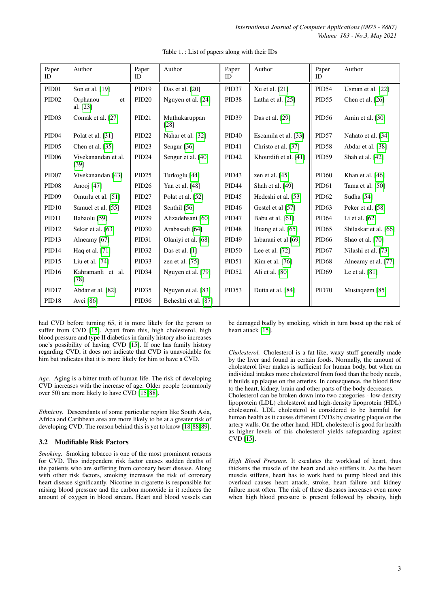<span id="page-2-0"></span>

| Paper<br>ID       | Author                      | Paper<br><b>ID</b> | Author                | Paper<br><b>ID</b> | Author                | Paper<br>ID       | Author                |
|-------------------|-----------------------------|--------------------|-----------------------|--------------------|-----------------------|-------------------|-----------------------|
| PID <sub>01</sub> | Son et al. [19]             | PID19              | Das et al. [20]       | PID37              | Xu et al. [21]        | PID54             | Usman et al. [22]     |
| PID <sub>02</sub> | Orphanou<br>et<br>al. [23]  | PID <sub>20</sub>  | Nguyen et al. [24]    | PID <sub>38</sub>  | Latha et al. [25]     | PID <sub>55</sub> | Chen et al. $[26]$    |
| PID <sub>03</sub> | Comak et al. [27]           | PID <sub>21</sub>  | Muthukaruppan<br>[28] | PID <sub>39</sub>  | Das et al. [29]       | <b>PID56</b>      | Amin et al. [30]      |
| PID <sub>04</sub> | Polat et al. [31]           | PID <sub>22</sub>  | Nahar et al. [32]     | <b>PID40</b>       | Escamila et al. [33]  | PID57             | Nahato et al. [34]    |
| PID <sub>05</sub> | Chen et al. $[35]$          | PID <sub>23</sub>  | Sengur $[36]$         | PID41              | Christo et al. [37]   | PID58             | Abdar et al. [38]     |
| PID <sub>06</sub> | Vivekanandan et al.<br>[39] | PID <sub>24</sub>  | Sengur et al. [40]    | <b>PID42</b>       | Khourdifi et al. [41] | PID59             | Shah et al. [42]      |
| PID <sub>07</sub> | Vivekanandan [43]           | PID <sub>25</sub>  | Turkoglu [44]         | PID <sub>43</sub>  | zen et al. $[45]$     | <b>PID60</b>      | Khan et al. [46]      |
| PID <sub>08</sub> | Anooj [47]                  | PID26              | Yan et al. [48]       | <b>PID44</b>       | Shah et al. [49]      | <b>PID61</b>      | Tama et al. [50]      |
| PID <sub>09</sub> | Omurlu et al. [51]          | PID <sub>27</sub>  | Polat et al. [52]     | PID <sub>45</sub>  | Hedeshi et al. [53]   | PID <sub>62</sub> | Sudha [54]            |
| PID10             | Samuel et al. [55]          | PID <sub>28</sub>  | Senthil [56]          | <b>PID46</b>       | Gestel et al [57]     | PID <sub>63</sub> | Peker et al. [58]     |
| PID11             | Babaolu [59]                | PID <sub>29</sub>  | Alizadehsani [60]     | PID <sub>47</sub>  | Babu et al. [61]      | <b>PID64</b>      | Li et al. $[62]$      |
| PID12             | Sekar et al. [63]           | PID <sub>30</sub>  | Arabasadi [64]        | PID <sub>48</sub>  | Huang et al. [65]     | PID <sub>65</sub> | Shilaskar et al. [66] |
| PID13             | Alneamy [67]                | PID <sub>31</sub>  | Olaniyi et al. [68]   | <b>PID49</b>       | Inbarani et al [69]   | <b>PID66</b>      | Shao et al. [70]      |
| PID <sub>14</sub> | Haq et al. [71]             | PID <sub>32</sub>  | Das et al. $[1]$      | PID <sub>50</sub>  | Lee et al. [72]       | PID <sub>67</sub> | Nilashi et al. [73]   |
| PID15             | Liu et al. [74]             | PID <sub>33</sub>  | zen et al. $[75]$     | PID51              | Kim et al. [76]       | <b>PID68</b>      | Alneamy et al. [77]   |
| PID <sub>16</sub> | Kahramanli et al.<br>[78]   | PID <sub>34</sub>  | Nguyen et al. [79]    | PID <sub>52</sub>  | Ali et al. [80]       | <b>PID69</b>      | Le et al. [81]        |
| PID17             | Abdar et al. [82]           | PID <sub>35</sub>  | Nguyen et al. [83]    | PID53              | Dutta et al. [84]     | PID70             | Mustaqeem [85]        |
| PID <sub>18</sub> | Avci [86]                   | PID <sub>36</sub>  | Beheshti et al. [87]  |                    |                       |                   |                       |

Table 1. : List of papers along with their IDs

had CVD before turning 65, it is more likely for the person to suffer from CVD [\[15\]](#page-12-11). Apart from this, high cholesterol, high blood pressure and type II diabetics in family history also increases one's possibility of having CVD [\[15\]](#page-12-11). If one has family history regarding CVD, it does not indicate that CVD is unavoidable for him but indicates that it is more likely for him to have a CVD.

*Age.* Aging is a bitter truth of human life. The risk of developing CVD increases with the increase of age. Older people (commonly over 50) are more likely to have CVD [\[15,](#page-12-11) [88\]](#page-15-7).

*Ethnicity.* Descendants of some particular region like South Asia, Africa and Caribbean area are more likely to be at a greater risk of developing CVD. The reason behind this is yet to know [\[18,](#page-12-14)[88,](#page-15-7)[89\]](#page-15-8).

# 3.2 Modifiable Risk Factors

*Smoking.* Smoking tobacco is one of the most prominent reasons for CVD. This independent risk factor causes sudden deaths of the patients who are suffering from coronary heart disease. Along with other risk factors, smoking increases the risk of coronary heart disease significantly. Nicotine in cigarette is responsible for raising blood pressure and the carbon monoxide in it reduces the amount of oxygen in blood stream. Heart and blood vessels can be damaged badly by smoking, which in turn boost up the risk of heart attack [\[15\]](#page-12-11).

*Cholesterol.* Cholesterol is a fat-like, waxy stuff generally made by the liver and found in certain foods. Normally, the amount of cholesterol liver makes is sufficient for human body, but when an individual intakes more cholesterol from food than the body needs, it builds up plaque on the arteries. In consequence, the blood flow to the heart, kidney, brain and other parts of the body decreases. Cholesterol can be broken down into two categories - low-density lipoprotein (LDL) cholesterol and high-density lipoprotein (HDL) cholesterol. LDL cholesterol is considered to be harmful for human health as it causes different CVDs by creating plaque on the artery walls. On the other hand, HDL cholesterol is good for health as higher levels of this cholesterol yields safeguarding against CVD [\[15\]](#page-12-11).

*High Blood Pressure.* It escalates the workload of heart, thus thickens the muscle of the heart and also stiffens it. As the heart muscle stiffens, heart has to work hard to pump blood and this overload causes heart attack, stroke, heart failure and kidney failure most often. The risk of these diseases increases even more when high blood pressure is present followed by obesity, high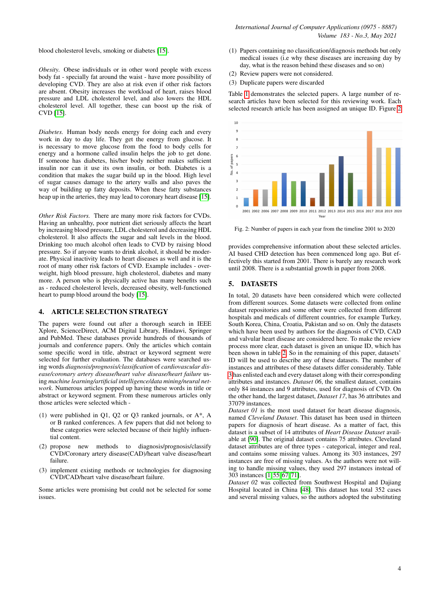blood cholesterol levels, smoking or diabetes [\[15\]](#page-12-11).

*Obesity.* Obese individuals or in other word people with excess body fat - specially fat around the waist - have more possibility of developing CVD. They are also at risk even if other risk factors are absent. Obesity increases the workload of heart, raises blood pressure and LDL cholesterol level, and also lowers the HDL cholesterol level. All together, these can boost up the risk of CVD [\[15\]](#page-12-11).

*Diabetes.* Human body needs energy for doing each and every work in day to day life. They get the energy from glucose. It is necessary to move glucose from the food to body cells for energy and a hormone called insulin helps the job to get done. If someone has diabetes, his/her body neither makes sufficient insulin nor can it use its own insulin, or both. Diabetes is a condition that makes the sugar build up in the blood. High level of sugar causes damage to the artery walls and also paves the way of building up fatty deposits. When these fatty substances heap up in the arteries, they may lead to coronary heart disease [\[15\]](#page-12-11).

*Other Risk Factors.* There are many more risk factors for CVDs. Having an unhealthy, poor nutrient diet seriously affects the heart by increasing blood pressure, LDL cholesterol and decreasing HDL cholesterol. It also affects the sugar and salt levels in the blood. Drinking too much alcohol often leads to CVD by raising blood pressure. So if anyone wants to drink alcohol, it should be moderate. Physical inactivity leads to heart diseases as well and it is the root of many other risk factors of CVD. Example includes - overweight, high blood pressure, high cholesterol, diabetes and many more. A person who is physically active has many benefits such as - reduced cholesterol levels, decreased obesity, well-functioned heart to pump blood around the body [\[15\]](#page-12-11).

## <span id="page-3-0"></span>4. ARTICLE SELECTION STRATEGY

The papers were found out after a thorough search in IEEE Xplore, ScienceDirect, ACM Digital Library, Hindawi, Springer and PubMed. These databases provide hundreds of thousands of journals and conference papers. Only the articles which contain some specific word in title, abstract or keyword segment were selected for further evaluation. The databases were searched using words *diagnosis/prognosis/classification* of *cardiovascular disease/coronary artery disease/heart valve disease/heart failure* using *machine learning/artificial intelligence/data mining/neural network*. Numerous articles popped up having these words in title or abstract or keyword segment. From these numerous articles only those articles were selected which -

- (1) were published in Q1, Q2 or Q3 ranked journals, or A\*, A or B ranked conferences. A few papers that did not belong to these categories were selected because of their highly influential content.
- (2) propose new methods to diagnosis/prognosis/classify CVD/Coronary artery disease(CAD)/heart valve disease/heart failure.
- (3) implement existing methods or technologies for diagnosing CVD/CAD/heart valve disease/heart failure.

Some articles were promising but could not be selected for some issues.

- (1) Papers containing no classification/diagnosis methods but only medical issues (i.e why these diseases are increasing day by day, what is the reason behind these diseases and so on)
- (2) Review papers were not considered.
- (3) Duplicate papers were discarded

Table [1](#page-2-0) demonstrates the selected papers. A large number of research articles have been selected for this reviewing work. Each selected research article has been assigned an unique ID. Figure [2](#page-3-2)

<span id="page-3-2"></span>

Fig. 2: Number of papers in each year from the timeline 2001 to 2020

provides comprehensive information about these selected articles. AI based CHD detection has been commenced long ago. But effectively this started from 2001. There is barely any research work until 2008. There is a substantial growth in paper from 2008.

#### <span id="page-3-1"></span>5. DATASETS

In total, 20 datasets have been considered which were collected from different sources. Some datasets were collected from online dataset repositories and some other were collected from different hospitals and medicals of different countries, for example Turkey, South Korea, China, Croatia, Pakistan and so on. Only the datasets which have been used by authors for the diagnosis of CVD, CAD and valvular heart disease are considered here. To make the review process more clear, each dataset is given an unique ID, which has been shown in table [2.](#page-4-0) So in the remaining of this paper, datasets' ID will be used to describe any of these datasets. The number of instances and attributes of these datasets differ considerably. Table [3](#page-4-1) has enlisted each and every dataset along with their corresponding attributes and instances. *Dataset 06*, the smallest dataset, contains only 84 instances and 9 attributes, used for diagnosis of CVD. On the other hand, the largest dataset, *Dataset 17*, has 36 attributes and 37079 instances.

*Dataset 01* is the most used dataset for heart disease diagnosis, named *Cleveland Dataset*. This dataset has been used in thirteen papers for diagnosis of heart disease. As a matter of fact, this dataset is a subset of 14 attributes of *Heart Disease Dataset* available at [\[90\]](#page-15-9). The original dataset contains 75 attributes. Cleveland dataset attributes are of three types - categorical, integer and real, and contains some missing values. Among its 303 instances, 297 instances are free of missing values. As the authors were not willing to handle missing values, they used 297 instances instead of 303 instances [\[1,](#page-12-0) [55,](#page-14-2) [67,](#page-14-14) [71\]](#page-14-18).

*Dataset 02* was collected from Southwest Hospital and Dajiang Hospital located in China [\[48\]](#page-13-23). This dataset has total 352 cases and several missing values, so the authors adopted the substituting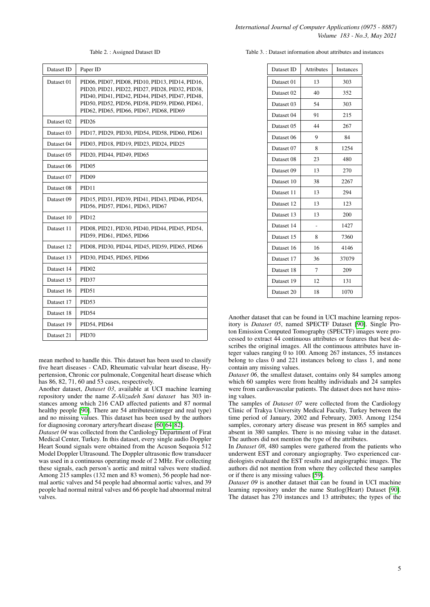Table 2. : Assigned Dataset ID

<span id="page-4-0"></span>

| Dataset ID | Paper ID                                                                                                                                                                                                                                                 |
|------------|----------------------------------------------------------------------------------------------------------------------------------------------------------------------------------------------------------------------------------------------------------|
| Dataset 01 | PID06, PID07, PID08, PID10, PID13, PID14, PID16,<br>PID20, PID21, PID22, PID27, PID28, PID32, PID38,<br>PID40, PID41, PID42, PID44, PID45, PID47, PID48,<br>PID50, PID52, PID56, PID58, PID59, PID60, PID61,<br>PID62, PID65, PID66, PID67, PID68, PID69 |
| Dataset 02 | PID <sub>26</sub>                                                                                                                                                                                                                                        |
| Dataset 03 | PID17, PID29, PID30, PID54, PID58, PID60, PID61                                                                                                                                                                                                          |
| Dataset 04 | PID03, PID18, PID19, PID23, PID24, PID25                                                                                                                                                                                                                 |
| Dataset 05 | PID20, PID44, PID49, PID65                                                                                                                                                                                                                               |
| Dataset 06 | PID <sub>05</sub>                                                                                                                                                                                                                                        |
| Dataset 07 | PID <sub>09</sub>                                                                                                                                                                                                                                        |
| Dataset 08 | PID <sub>11</sub>                                                                                                                                                                                                                                        |
| Dataset 09 | PID15, PID31, PID39, PID41, PID43, PID46, PID54,<br>PID56, PID57, PID61, PID63, PID67                                                                                                                                                                    |
| Dataset 10 | PID <sub>12</sub>                                                                                                                                                                                                                                        |
| Dataset 11 | PID08, PID21, PID30, PID40, PID44, PID45, PID54,<br>PID59, PID61, PID65, PID66                                                                                                                                                                           |
| Dataset 12 | PID08, PID30, PID44, PID45, PID59, PID65, PID66                                                                                                                                                                                                          |
| Dataset 13 | PID30, PID45, PID65, PID66                                                                                                                                                                                                                               |
| Dataset 14 | PID <sub>02</sub>                                                                                                                                                                                                                                        |
| Dataset 15 | PID <sub>37</sub>                                                                                                                                                                                                                                        |
| Dataset 16 | PID51                                                                                                                                                                                                                                                    |
| Dataset 17 | PID <sub>53</sub>                                                                                                                                                                                                                                        |
| Dataset 18 | <b>PID54</b>                                                                                                                                                                                                                                             |
| Dataset 19 | PID54, PID64                                                                                                                                                                                                                                             |
| Dataset 21 | PID70                                                                                                                                                                                                                                                    |

mean method to handle this. This dataset has been used to classify five heart diseases - CAD, Rheumatic valvular heart disease, Hypertension, Chronic cor pulmonale, Congenital heart disease which has 86, 82, 71, 60 and 53 cases, respectively.

Another dataset, *Dataset 03*, available at UCI machine learning repository under the name *Z-Alizadeh Sani dataset* has 303 instances among which 216 CAD affected patients and 87 normal healthy people [\[90\]](#page-15-9). There are 54 attributes(integer and real type) and no missing values. This dataset has been used by the authors for diagnosing coronary artery/heart disease [\[60,](#page-14-7) [64,](#page-14-11) [82\]](#page-15-1).

*Dataset 04* was collected from the Cardiology Department of Firat Medical Center, Turkey. In this dataset, every single audio Doppler Heart Sound signals were obtained from the Acuson Sequoia 512 Model Doppler Ultrasound. The Doppler ultrasonic flow transducer was used in a continuous operating mode of 2 MHz. For collecting these signals, each person's aortic and mitral valves were studied. Among 215 samples (132 men and 83 women), 56 people had normal aortic valves and 54 people had abnormal aortic valves, and 39 people had normal mitral valves and 66 people had abnormal mitral valves.

<span id="page-4-1"></span>Table 3. : Dataset information about attributes and instances

| <b>Attributes</b> | Instances |
|-------------------|-----------|
| 13                | 303       |
| 40                | 352       |
| 54                | 303       |
| 91                | 215       |
| 44                | 267       |
| 9                 | 84        |
| 8                 | 1254      |
| 23                | 480       |
| 13                | 270       |
| 38                | 2267      |
| 13                | 294       |
| 13                | 123       |
| 13                | 200       |
|                   | 1427      |
| 8                 | 7360      |
| 16                | 4146      |
| 36                | 37079     |
| 7                 | 209       |
| 12                | 131       |
| 18                | 1070      |
|                   |           |

Another dataset that can be found in UCI machine learning repository is *Dataset 05*, named SPECTF Dataset [\[90\]](#page-15-9). Single Proton Emission Computed Tomography (SPECTF) images were processed to extract 44 continuous attributes or features that best describes the original images. All the continuous attributes have integer values ranging 0 to 100. Among 267 instances, 55 instances belong to class 0 and 221 instances belong to class 1, and none contain any missing values.

*Dataset 06*, the smallest dataset, contains only 84 samples among which 60 samples were from healthy individuals and 24 samples were from cardiovascular patients. The dataset does not have missing values.

The samples of *Dataset 07* were collected from the Cardiology Clinic of Trakya University Medical Faculty, Turkey between the time period of January, 2002 and February, 2003. Among 1254 samples, coronary artery disease was present in 865 samples and absent in 380 samples. There is no missing value in the dataset. The authors did not mention the type of the attributes.

In *Dataset 08*, 480 samples were gathered from the patients who underwent EST and coronary angiography. Two experienced cardiologists evaluated the EST results and angiographic images. The authors did not mention from where they collected these samples or if there is any missing values [\[59\]](#page-14-6).

*Dataset 09* is another dataset that can be found in UCI machine learning repository under the name Statlog(Heart) Dataset [\[90\]](#page-15-9). The dataset has 270 instances and 13 attributes; the types of the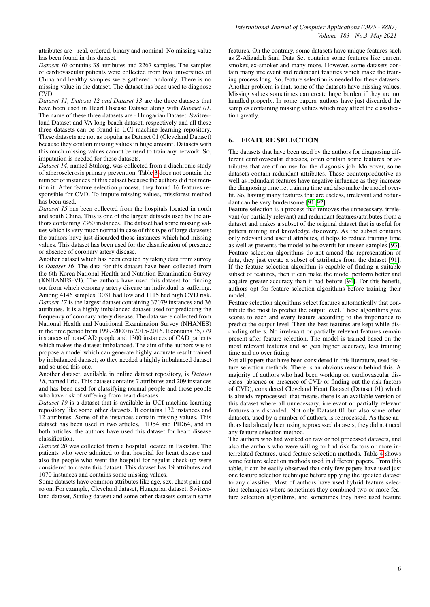attributes are - real, ordered, binary and nominal. No missing value has been found in this dataset.

*Dataset 10* contains 38 attributes and 2267 samples. The samples of cardiovascular patients were collected from two universities of China and healthy samples were gathered randomly. There is no missing value in the dataset. The dataset has been used to diagnose CVD.

*Dataset 11, Dataset 12 and Dataset 13* are the three datasets that have been used in Heart Disease Dataset along with *Dataset 01*. The name of these three datasets are - Hungarian Dataset, Switzerland Dataset and VA long beach dataset, respectively and all these three datasets can be found in UCI machine learning repository. These datasets are not as popular as Dataset 01 (Cleveland Dataset) because they contain missing values in huge amount. Datasets with this much missing values cannot be used to train any network. So, imputation is needed for these datasets.

*Dataset 14*, named Stulong, was collected from a diachronic study of atherosclerosis primary prevention. Table [3](#page-4-1) does not contain the number of instances of this dataset because the authors did not mention it. After feature selection process, they found 16 features responsible for CVD. To impute missing values, missforest method has been used.

*Dataset 15* has been collected from the hospitals located in north and south China. This is one of the largest datasets used by the authors containing 7360 instances. The dataset had some missing values which is very much normal in case of this type of large datasets; the authors have just discarded those instances which had missing values. This dataset has been used for the classification of presence or absence of coronary artery disease.

Another dataset which has been created by taking data from survey is *Dataset 16*. The data for this dataset have been collected from the 6th Korea National Health and Nutrition Examination Survey (KNHANES-VI). The authors have used this dataset for finding out from which coronary artery disease an individual is suffering. Among 4146 samples, 3031 had low and 1115 had high CVD risk. *Dataset 17* is the largest dataset containing 37079 instances and 36 attributes. It is a highly imbalanced dataset used for predicting the frequency of coronary artery disease. The data were collected from National Health and Nutritional Examination Survey (NHANES) in the time period from 1999-2000 to 2015-2016. It contains 35,779 instances of non-CAD people and 1300 instances of CAD patients which makes the dataset imbalanced. The aim of the authors was to propose a model which can generate highly accurate result trained by imbalanced dataset; so they needed a highly imbalanced dataset and so used this one.

Another dataset, available in online dataset repository, is *Dataset 18*, named Eric. This dataset contains 7 attributes and 209 instances and has been used for classifying normal people and those people who have risk of suffering from heart diseases.

*Dataset 19* is a dataset that is available in UCI machine learning repository like some other datasets. It contains 132 instances and 12 attributes. Some of the instances contain missing values. This dataset has been used in two articles, PID54 and PID64, and in both articles, the authors have used this dataset for heart disease classification.

*Dataset 20* was collected from a hospital located in Pakistan. The patients who were admitted to that hospital for heart disease and also the people who went the hospital for regular check-up were considered to create this dataset. This dataset has 19 attributes and 1070 instances and contains some missing values.

Some datasets have common attributes like age, sex, chest pain and so on. For example, Cleveland dataset, Hungarian dataset, Switzerland dataset, Statlog dataset and some other datasets contain same features. On the contrary, some datasets have unique features such as Z-Alizadeh Sani Data Set contains some features like current smoker, ex-smoker and many more. However, some datasets contain many irrelevant and redundant features which make the training process long. So, feature selection is needed for these datasets. Another problem is that, some of the datasets have missing values. Missing values sometimes can create huge burden if they are not handled properly. In some papers, authors have just discarded the samples containing missing values which may affect the classification greatly.

# <span id="page-5-0"></span>6. FEATURE SELECTION

The datasets that have been used by the authors for diagnosing different cardiovascular diseases, often contain some features or attributes that are of no use for the diagnosis job. Moreover, some datasets contain redundant attributes. These counterproductive as well as redundant features have negative influence as they increase the diagnosing time i.e, training time and also make the model overfit. So, having many features that are useless, irrelevant and redundant can be very burdensome [\[91,](#page-15-10) [92\]](#page-15-11).

Feature selection is a process that removes the unnecessary, irrelevant (or partially relevant) and redundant features/attributes from a dataset and makes a subset of the original dataset that is useful for pattern mining and knowledge discovery. As the subset contains only relevant and useful attributes, it helps to reduce training time as well as prevents the model to be overfit for unseen samples [\[93\]](#page-15-12). Feature selection algorithms do not amend the representation of data, they just create a subset of attributes from the dataset [\[91\]](#page-15-10). If the feature selection algorithm is capable of finding a suitable subset of features, then it can make the model perform better and acquire greater accuracy than it had before [\[94\]](#page-15-13). For this benefit, authors opt for feature selection algorithms before training their model.

Feature selection algorithms select features automatically that contribute the most to predict the output level. These algorithms give scores to each and every feature according to the importance to predict the output level. Then the best features are kept while discarding others. No irrelevant or partially relevant features remain present after feature selection. The model is trained based on the most relevant features and so gets higher accuracy, less training time and no over fitting.

Not all papers that have been considered in this literature, used feature selection methods. There is an obvious reason behind this. A majority of authors who had been working on cardiovascular diseases (absence or presence of CVD or finding out the risk factors of CVD), considered Cleveland Heart Dataset (Dataset 01) which is already reprocessed; that means, there is an available version of this dataset where all unnecessary, irrelevant or partially relevant features are discarded. Not only Dataset 01 but also some other datasets, used by a number of authors, is reprocessed. As these authors had already been using reprocessed datasets, they did not need any feature selection method.

The authors who had worked on raw or not processed datasets, and also the authors who were willing to find risk factors or more interrelated features, used feature selection methods. Table [4](#page-16-0) shows some feature selection methods used in different papers. From this table, it can be easily observed that only few papers have used just one feature selection technique before applying the updated dataset to any classifier. Most of authors have used hybrid feature selection techniques where sometimes they combined two or more feature selection algorithms, and sometimes they have used feature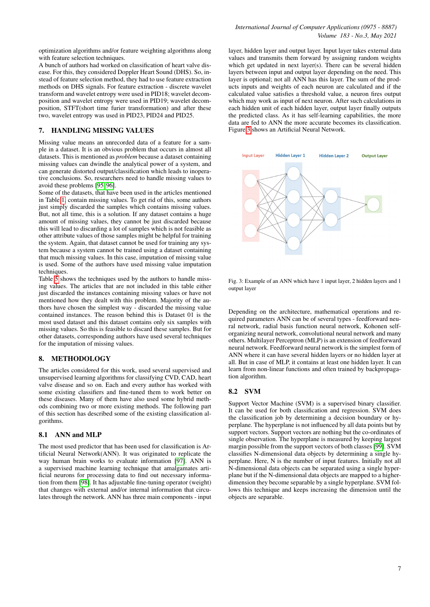optimization algorithms and/or feature weighting algorithms along with feature selection techniques.

A bunch of authors had worked on classification of heart valve disease. For this, they considered Doppler Heart Sound (DHS). So, instead of feature selection method, they had to use feature extraction methods on DHS signals. For feature extraction - discrete wavelet transform and wavelet entropy were used in PID18; wavelet decomposition and wavelet entropy were used in PID19; wavelet decomposition, STFT(short time furier transformation) and after these two, wavelet entropy was used in PID23, PID24 and PID25.

## <span id="page-6-0"></span>7. HANDLING MISSING VALUES

Missing value means an unrecorded data of a feature for a sample in a dataset. It is an obvious problem that occurs in almost all datasets. This is mentioned as *problem* because a dataset containing missing values can dwindle the analytical power of a system, and can generate distorted output/classification which leads to inoperative conclusions. So, researchers need to handle missing values to avoid these problems [\[95,](#page-15-14) [96\]](#page-15-15).

Some of the datasets, that have been used in the articles mentioned in Table [1,](#page-2-0) contain missing values. To get rid of this, some authors just simply discarded the samples which contains missing values. But, not all time, this is a solution. If any dataset contains a huge amount of missing values, they cannot be just discarded because this will lead to discarding a lot of samples which is not feasible as other attribute values of those samples might be helpful for training the system. Again, that dataset cannot be used for training any system because a system cannot be trained using a dataset containing that much missing values. In this case, imputation of missing value is used. Some of the authors have used missing value imputation techniques.

Table  $\bar{5}$  shows the techniques used by the authors to handle missing values. The articles that are not included in this table either just discarded the instances containing missing values or have not mentioned how they dealt with this problem. Majority of the authors have chosen the simplest way - discarded the missing value contained instances. The reason behind this is Dataset 01 is the most used dataset and this dataset contains only six samples with missing values. So this is feasible to discard these samples. But for other datasets, corresponding authors have used several techniques for the imputation of missing values.

# <span id="page-6-1"></span>8. METHODOLOGY

The articles considered for this work, used several supervised and unsupervised learning algorithms for classifying CVD, CAD, heart valve disease and so on. Each and every author has worked with some existing classifiers and fine-tuned them to work better on these diseases. Many of them have also used some hybrid methods combining two or more existing methods. The following part of this section has described some of the existing classification algorithms.

## 8.1 ANN and MLP

The most used predictor that has been used for classification is Artificial Neural Network(ANN). It was originated to replicate the way human brain works to evaluate information [\[97\]](#page-15-16). ANN is a supervised machine learning technique that amalgamates artificial neurons for processing data to find out necessary information from them [\[98\]](#page-15-17). It has adjustable fine-tuning operator (weight) that changes with external and/or internal information that circulates through the network. ANN has three main components - input layer, hidden layer and output layer. Input layer takes external data values and transmits them forward by assigning random weights which get updated in next layer(s). There can be several hidden layers between input and output layer depending on the need. This layer is optional; not all ANN has this layer. The sum of the products inputs and weights of each neuron are calculated and if the calculated value satisfies a threshold value, a neuron fires output which may work as input of next neuron. After such calculations in each hidden unit of each hidden layer, output layer finally outputs the predicted class. As it has self-learning capabilities, the more data are fed to ANN the more accurate becomes its classification. Figure [3](#page-6-2) shows an Artificial Neural Network.

<span id="page-6-2"></span>

Fig. 3: Example of an ANN which have 1 input layer, 2 hidden layers and 1 output layer

Depending on the architecture, mathematical operations and required parameters ANN can be of several types - feedforward neural network, radial basis function neural network, Kohonen selforganizing neural network, convolutional neural network and many others. Multilayer Perceptron (MLP) is an extension of feedforward neural network. Feedforward neural network is the simplest form of ANN where it can have several hidden layers or no hidden layer at all. But in case of MLP, it contains at least one hidden layer. It can learn from non-linear functions and often trained by backpropagation algorithm.

## 8.2 SVM

Support Vector Machine (SVM) is a supervised binary classifier. It can be used for both classification and regression. SVM does the classification job by determining a decision boundary or hyperplane. The hyperplane is not influenced by all data points but by support vectors. Support vectors are nothing but the co-ordinates of single observation. The hyperplane is measured by keeping largest margin possible from the support vectors of both classes [\[99\]](#page-15-18). SVM classifies N-dimensional data objects by determining a single hyperplane. Here, N is the number of input features. Initially not all N-dimensional data objects can be separated using a single hyperplane but if the N-dimensional data objects are mapped to a higherdimension they become separable by a single hyperplane. SVM follows this technique and keeps increasing the dimension until the objects are separable.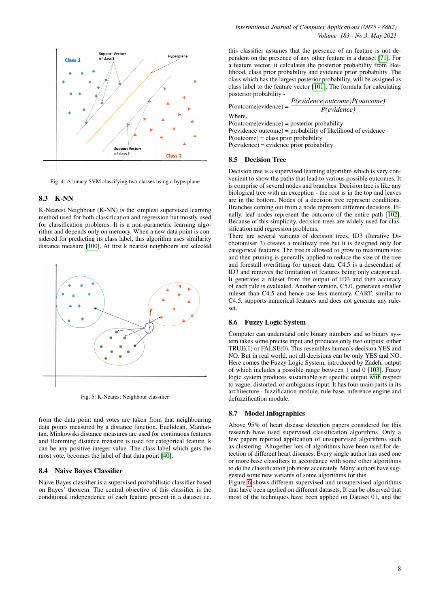

Fig. 4: A binary SVM classifying two classes using a hyperplane

## 8.3 K-NN

K-Nearest Neighbour (K-NN) is the simplest supervised learning method used for both classification and regression but mostly used for classification problems. It is a non-parametric learning algorithm and depends only on memory. When a new data point is considered for predicting its class label, this algorithm uses similarity distance measure [\[100\]](#page-15-19). At first k nearest neighbours are selected



Fig. 5: K-Nearest Neighbour classifier

from the data point and votes are taken from that neighbouring data points measured by a distance function. Euclidean, Manhattan, Minkowski distance measures are used for continuous features and Hamming distance measure is used for categorical feature. k can be any positive integer value. The class label which gets the most vote, becomes the label of that data point [\[40\]](#page-13-15).

#### 8.4 Naive Bayes Classifier

Naive Bayes classifier is a supervised probabilistic classifier based on Bayes' theorem. The central objective of this classifier is the conditional independence of each feature present in a dataset i.e.

this classifier assumes that the presence of an feature is not dependent on the presence of any other feature in a dataset [\[71\]](#page-14-18). For a feature vector, it calculates the posterior probability from likelihood, class prior probability and evidence prior probability. The class which has the largest posterior probability, will be assigned as class label to the feature vector [\[101\]](#page-15-20). The formula for calculating posterior probability -

|                                                                    | P(evidence outcome)P(outcome)                                  |
|--------------------------------------------------------------------|----------------------------------------------------------------|
| $P(outcome  evidence) =$                                           | P(evidence)                                                    |
| Where.                                                             |                                                                |
| $P(\text{outcome} \text{evidence}) = \text{posterior probability}$ |                                                                |
|                                                                    | $P$ (evidence outcome) = probability of likelihood of evidence |

 $P$ (outcome) = class prior probability P(evidence) = evidence prior probability

#### 8.5 Decision Tree

Decision tree is a supervised learning algorithm which is very convenient to show the paths that lead to various possible outcomes. It is comprise of several nodes and branches. Decision tree is like any biological tree with an exception - the root is in the top and leaves are in the bottom. Nodes of a decision tree represent conditions. Branches coming out from a node represent different decisions. Finally, leaf nodes represent the outcome of the entire path [\[102\]](#page-15-21). Because of this simplicity, decision trees are widely used for classification and regression problems.

There are several variants of decision trees. ID3 (Iterative Dichotomiser 3) creates a multiway tree but it is designed only for categorical features. The tree is allowed to grow to maximum size and then pruning is generally applied to reduce the size of the tree and forestall overfitting for unseen data. C4.5 is a descendant of ID3 and removes the limitation of features being only categorical. It generates a ruleset from the output of ID3 and then accuracy of each rule is evaluated. Another version, C5.0, generates smaller ruleset than C4.5 and hence use less memory. CART, similar to C4.5, supports numerical features and does not generate any ruleset.

#### 8.6 Fuzzy Logic System

Computer can understand only binary numbers and so binary system takes some precise input and produces only two outputs; either TRUE(1) or FALSE(0). This resembles human's decision YES and NO. But in real world, not all decisions can be only YES and NO. Here comes the Fuzzy Logic System, introduced by Zadeh, output of which includes a possible range between 1 and 0 [\[103\]](#page-15-22). Fuzzy logic system produces sustainable yet specific output with respect to vague, distorted, or ambiguous input. It has four main parts in its architecture - fuzzification module, rule base, inference engine and defuzzification module.

## 8.7 Model Infographics

Above 95% of heart disease detection papers considered for this research have used supervised classification algorithms. Only a few papers reported application of unsupervised algorithms such as clustering. Altogether lots of algorithms have been used for detection of different heart diseases. Every single author has used one or more base classifiers in accordance with some other algorithms to do the classification job more accurately. Many authors have suggested some new variants of some algorithms for this.

Figure [6](#page-8-0) shows different supervised and unsupervised algorithms that have been applied on different datasets. It can be observed that most of the techniques have been applied on Dataset 01, and the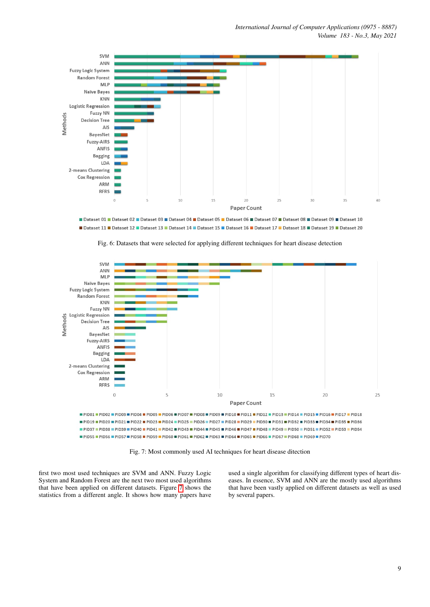<span id="page-8-0"></span>

Dataset 01 Dataset 02 Dataset 03 Dataset 04 Dataset 04 Dataset 05 Dataset 06 Dataset 07 Dataset 08 Dataset 09 Dataset 10 Dataset 11 Dataset 12 Dataset 13 Dataset 14 Dataset 14 Dataset 15 Dataset 16 Dataset 17 Dataset 18 Dataset 19 Dataset 20

<span id="page-8-1"></span>

Fig. 6: Datasets that were selected for applying different techniques for heart disease detection

Fig. 7: Most commonly used AI techniques for heart disease ditection

first two most used techniques are SVM and ANN. Fuzzy Logic System and Random Forest are the next two most used algorithms that have been applied on different datasets. Figure [7](#page-8-1) shows the statistics from a different angle. It shows how many papers have

used a single algorithm for classifying different types of heart diseases. In essence, SVM and ANN are the mostly used algorithms that have been vastly applied on different datasets as well as used by several papers.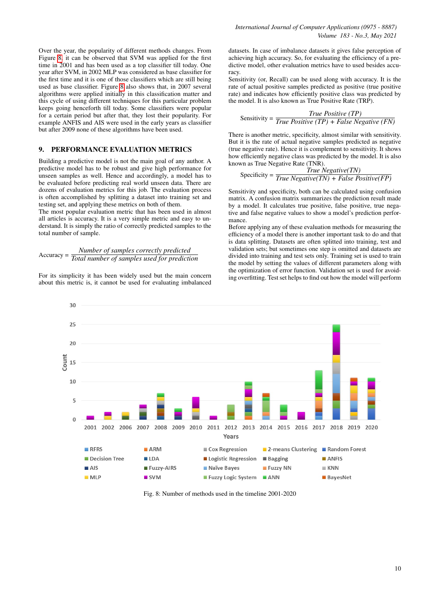Over the year, the popularity of different methods changes. From Figure [8,](#page-9-0) it can be observed that SVM was applied for the first time in 2001 and has been used as a top classifier till today. One year after SVM, in 2002 MLP was considered as base classifier for the first time and it is one of those classifiers which are still being used as base classifier. Figure [8](#page-9-0) also shows that, in 2007 several algorithms were applied initially in this classification matter and this cycle of using different techniques for this particular problem keeps going henceforth till today. Some classifiers were popular for a certain period but after that, they lost their popularity. For example ANFIS and AIS were used in the early years as classifier but after 2009 none of these algorithms have been used.

## <span id="page-9-1"></span>9. PERFORMANCE EVALUATION METRICS

Building a predictive model is not the main goal of any author. A predictive model has to be robust and give high performance for unseen samples as well. Hence and accordingly, a model has to be evaluated before predicting real world unseen data. There are dozens of evaluation metrics for this job. The evaluation process is often accomplished by splitting a dataset into training set and testing set, and applying these metrics on both of them.

The most popular evaluation metric that has been used in almost all articles is accuracy. It is a very simple metric and easy to understand. It is simply the ratio of correctly predicted samples to the total number of sample.

# Accuracy = *Total number of samples used for prediction Number of samples correctly predicted*

For its simplicity it has been widely used but the main concern about this metric is, it cannot be used for evaluating imbalanced

datasets. In case of imbalance datasets it gives false perception of achieving high accuracy. So, for evaluating the efficiency of a predictive model, other evaluation metrics have to used besides accuracy.

Sensitivity (or, Recall) can be used along with accuracy. It is the rate of actual positive samples predicted as positive (true positive rate) and indicates how efficiently positive class was predicted by the model. It is also known as True Positive Rate (TRP).

Sensitivity = 
$$
\frac{True \ Positive \ (TP)}{True \ Positive \ (TP) + False \ Negative \ (FN)}
$$

There is another metric, specificity, almost similar with sensitivity. But it is the rate of actual negative samples predicted as negative (true negative rate). Hence it is complement to sensitivity. It shows how efficiently negative class was predicted by the model. It is also known as True Negative Rate (TNR).

$$
Specificity = \frac{True \ Negative(TN)}{True \ Negative(TN) + False \ Positive(FP)}
$$

Sensitivity and specificity, both can be calculated using confusion matrix. A confusion matrix summarizes the prediction result made by a model. It calculates true positive, false positive, true negative and false negative values to show a model's prediction performance.

Before applying any of these evaluation methods for measuring the efficiency of a model there is another important task to do and that is data splitting. Datasets are often splitted into training, test and validation sets; but sometimes one step is omitted and datasets are divided into training and test sets only. Training set is used to train the model by setting the values of different parameters along with the optimization of error function. Validation set is used for avoiding overfitting. Test set helps to find out how the model will perform

<span id="page-9-0"></span>

Fig. 8: Number of methods used in the timeline 2001-2020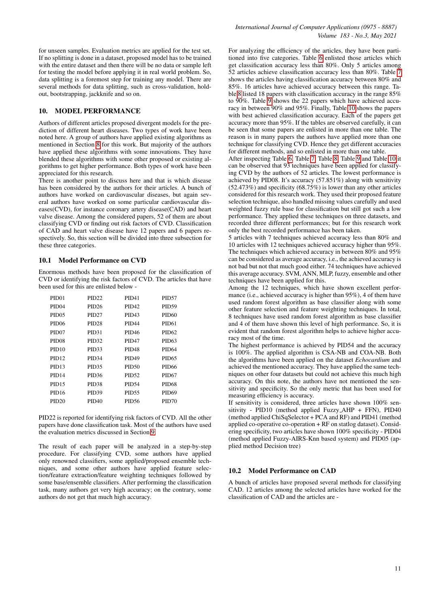for unseen samples. Evaluation metrics are applied for the test set. If no splitting is done in a dataset, proposed model has to be trained with the entire dataset and then there will be no data or sample left for testing the model before applying it in real world problem. So, data splitting is a foremost step for training any model. There are several methods for data splitting, such as cross-validation, holdout, bootstrapping, jackknife and so on.

## <span id="page-10-0"></span>10. MODEL PERFORMANCE

Authors of different articles proposed divergent models for the prediction of different heart diseases. Two types of work have been noted here. A group of authors have applied existing algorithms as mentioned in Section [8](#page-6-1) for this work. But majority of the authors have applied these algorithms with some innovations. They have blended these algorithms with some other proposed or existing algorithms to get higher performance. Both types of work have been appreciated for this research.

There is another point to discuss here and that is which disease has been considered by the authors for their articles. A bunch of authors have worked on cardiovascular diseases, but again several authors have worked on some particular cardiovascular diseases(CVD), for instance coronary artery disease(CAD) and heart valve disease. Among the considered papers, 52 of them are about classifying CVD or finding out risk factors of CVD. Classification of CAD and heart valve disease have 12 papers and 6 papers respectively. So, this section will be divided into three subsection for these three categories.

#### 10.1 Model Performance on CVD

Enormous methods have been proposed for the classification of CVD or identifying the risk factors of CVD. The articles that have been used for this are enlisted below -

| PID <sub>01</sub> | PID <sub>22</sub> | <b>PID41</b>      | PID <sub>57</sub> |
|-------------------|-------------------|-------------------|-------------------|
| PID <sub>04</sub> | PID <sub>26</sub> | <b>PID42</b>      | <b>PID59</b>      |
| PID <sub>05</sub> | PID <sub>27</sub> | <b>PID43</b>      | PID <sub>60</sub> |
| <b>PID06</b>      | PID <sub>28</sub> | <b>PID44</b>      | <b>PID61</b>      |
| PID <sub>07</sub> | PID31             | <b>PID46</b>      | <b>PID62</b>      |
| PID <sub>08</sub> | PID <sub>32</sub> | PID <sub>47</sub> | PID <sub>63</sub> |
| PID <sub>10</sub> | PID <sub>33</sub> | PID <sub>48</sub> | <b>PID64</b>      |
| PID <sub>12</sub> | <b>PID34</b>      | <b>PID49</b>      | <b>PID65</b>      |
| PID <sub>13</sub> | <b>PID35</b>      | <b>PID50</b>      | <b>PID66</b>      |
| PID <sub>14</sub> | <b>PID36</b>      | <b>PID52</b>      | PID <sub>67</sub> |
| PID <sub>15</sub> | PID <sub>38</sub> | <b>PID54</b>      | <b>PID68</b>      |
| PID <sub>16</sub> | <b>PID39</b>      | <b>PID55</b>      | <b>PID69</b>      |
| PID <sub>20</sub> | <b>PID40</b>      | <b>PID56</b>      | PID70             |
|                   |                   |                   |                   |

PID22 is reported for identifying risk factors of CVD. All the other papers have done classification task. Most of the authors have used the evaluation metrics discussed in Section [9.](#page-9-1)

The result of each paper will be analyzed in a step-by-step procedure. For classifying CVD, some authors have applied only renowned classifiers, some applied/proposed ensemble techniques, and some other authors have applied feature selection/feature extraction/feature weighting techniques followed by some base/ensemble classifiers. After performing the classification task, many authors get very high accuracy; on the contrary, some authors do not get that much high accuracy.

For analyzing the efficiency of the articles, they have been partitioned into five categories. Table [6](#page-18-0) enlisted those articles which get classification accuracy less than 80%. Only 5 articles among 52 articles achieve classification accuracy less than 80%. Table [7](#page-19-0) shows the articles having classification accuracy between 80% and 85%. 16 articles have achieved accuracy between this range. Table [8](#page-20-0) listed 18 papers with classification accuracy in the range 85% to 90%. Table [9](#page-21-0) shows the 22 papers which have achieved accuracy in between 90% and 95%. Finally, Table [10](#page-22-0) shows the papers with best achieved classification accuracy. Each of the papers get accuracy more than 95%. If the tables are observed carefully, it can be seen that some papers are enlisted in more than one table. The reason is in many papers the authors have applied more than one technique for classifying CVD. Hence they get different accuracies for different methods, and so enlisted in more than one table.

After inspecting Table [6,](#page-18-0) Table [7,](#page-19-0) Table [8,](#page-20-0) Table [9](#page-21-0) and Table [10](#page-22-0) it can be observed that 93 techniques have been applied for classifying CVD by the authors of 52 articles. The lowest performance is achieved by PID08. It's accuracy (57.851%) along with sensitivity (52.473%) and specificity (68.75%) is lower than any other articles considered for this research work. They used their proposed feature selection technique, also handled missing values carefully and used weighted fuzzy rule base for classification but still got such a low performance. They applied these techniques on three datasets, and recorded three different performances; but for this research work only the best recorded performance has been taken.

5 articles with 7 techniques achieved accuracy less than 80% and 10 articles with 12 techniques achieved accuracy higher than 95%. The techniques which achieved accuracy in between 80% and 95% can be considered as average accuracy, i.e., the achieved accuracy is not bad but not that much good either. 74 techniques have achieved this average accuracy. SVM, ANN, MLP, fuzzy, ensemble and other techniques have been applied for this.

Among the 12 techniques, which have shown excellent performance (i.e., achieved accuracy is higher than 95%), 4 of them have used random forest algorithm as base classifier along with some other feature selection and feature weighting techniques. In total, 8 techniques have used random forest algorithm as base classifier and 4 of them have shown this level of high performance. So, it is evident that random forest algorithm helps to achieve higher accuracy most of the time.

The highest performance is achieved by PID54 and the accuracy is 100%. The applied algorithm is CSA-NB and COA-NB. Both the algorithms have been applied on the dataset *Echocardium* and achieved the mentioned accuracy. They have applied the same techniques on other four datasets but could not achieve this much high accuracy. On this note, the authors have not mentioned the sensitivity and specificity. So the only metric that has been used for measuring efficiency is accuracy.

If sensitivity is considered, three articles have shown 100% sensitivity - PID10 (method applied Fuzzy AHP + FFN), PID40 (method applied ChiSqSelector + PCA and RF) and PID41 (method applied co-operative co-operation + RF on statlog dataset). Considering specificity, two articles have shown 100% specificity - PID04 (method applied Fuzzy-AIRS-Knn based system) and PID05 (applied method Decision tree)

## 10.2 Model Performance on CAD

A bunch of articles have proposed several methods for classifying CAD. 12 articles among the selected articles have worked for the classification of CAD and the articles are -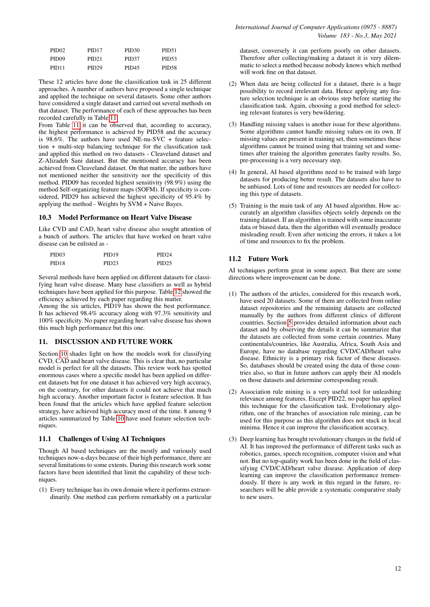| PID <sub>02</sub> | PID <sub>17</sub> | PID <sub>30</sub> | PID <sub>51</sub> |
|-------------------|-------------------|-------------------|-------------------|
| PID <sub>09</sub> | PID <sub>21</sub> | PID37             | PID <sub>53</sub> |
| PID <sub>11</sub> | PID <sub>29</sub> | <b>PID45</b>      | <b>PID58</b>      |

These 12 articles have done the classification task in 25 different approaches. A number of authors have proposed a single technique and applied the technique on several datasets. Some other authors have considered a single dataset and carried out several methods on that dataset. The performance of each of these approaches has been recorded carefully in Table [11.](#page-23-0)

From Table [11](#page-23-0) it can be observed that, according to accuracy, the highest performance is achieved by PID58 and the accuracy is 98.6%. The authors have used NE-nu-SVC + feature selection + multi-step balancing technique for the classification task and applied this method on two datasets - Cleaveland dataset and Z-Alizadeh Sani dataset. But the mentioned accuracy has been achieved from Cleaveland dataset. On that matter, the authors have not mentioned neither the sensitivity nor the specificity of this method. PID09 has recorded highest sensitivity (98.9%) using the method Self-organizing feature maps (SOFM). If specificity is considered, PID29 has achieved the highest specificity of 95.4% by applying the method - Weights by SVM + Naive Bayes.

## 10.3 Model Performance on Heart Valve Disease

Like CVD and CAD, heart valve disease also sought attention of a bunch of authors. The articles that have worked on heart valve disease can be enlisted as -

| PID <sub>03</sub> | PID <sub>19</sub> | PID <sub>24</sub> |
|-------------------|-------------------|-------------------|
| PID <sub>18</sub> | PID <sub>23</sub> | PID <sub>25</sub> |

Several methods have been applied on different datasets for classifying heart valve disease. Many base classifiers as well as hybrid techniques have been applied for this purpose. Table [12](#page-24-0) showed the efficiency achieved by each paper regarding this matter.

Among the six articles, PID19 has shown the best performance. It has achieved 98.4% accuracy along with 97.3% sensitivity and 100% specificity. No paper regarding heart valve disease has shown this much high performance but this one.

## <span id="page-11-0"></span>11. DISCUSSION AND FUTURE WORK

Section [10](#page-10-0) shades light on how the models work for classifying CVD, CAD and heart valve disease. This is clear that, no particular model is perfect for all the datasets. This review work has spotted enormous cases where a specific model has been applied on different datasets but for one dataset it has achieved very high accuracy, on the contrary, for other datasets it could not achieve that much high accuracy. Another important factor is feature selection. It has been found that the articles which have applied feature selection strategy, have achieved high accuracy most of the time. 8 among 9 articles summarized by Table [10](#page-22-0) have used feature selection techniques.

## 11.1 Challenges of Using AI Techniques

Though AI based techniques are the mostly and variously used techniques now-a-days because of their high performance, there are several limitations to some extents. During this research work some factors have been identified that limit the capability of these techniques.

(1) Every technique has its own domain where it performs extraordinarily. One method can perform remarkably on a particular dataset, conversely it can perform poorly on other datasets. Therefore after collecting/making a dataset it is very dilemmatic to select a method because nobody knows which method will work fine on that dataset.

- (2) When data are being collected for a dataset, there is a huge possibility to record irrelevant data. Hence applying any feature selection technique is an obvious step before starting the classification task. Again, choosing a good method for selecting relevant features is very bewildering.
- (3) Handling missing values is another issue for these algorithms. Some algorithms cannot handle missing values on its own. If missing values are present in training set, then sometimes these algorithms cannot be trained using that training set and sometimes after training the algorithm generates faulty results. So, pre-processing is a very necessary step.
- (4) In general, AI based algorithms need to be trained with large datasets for producing better result. The datasets also have to be unbiased. Lots of time and resources are needed for collecting this type of datasets.
- (5) Training is the main task of any AI based algorithm. How accurately an algorithm classifies objects solely depends on the training dataset. If an algorithm is trained with some inaccurate data or biased data, then the algorithm will eventually produce misleading result. Even after noticing the errors, it takes a lot of time and resources to fix the problem.

# 11.2 Future Work

AI techniques perform great in some aspect. But there are some directions where improvement can be done.

- (1) The authors of the articles, considered for this research work, have used 20 datasets. Some of them are collected from online dataset repositories and the remaining datasets are collected manually by the authors from different clinics of different countries. Section [5](#page-3-1) provides detailed information about each dataset and by observing the details it can be summarize that the datasets are collected from some certain countries. Many continentals/countries, like Australia, Africa, South Asia and Europe, have no database regarding CVD/CAD/heart valve disease. Ethnicity is a primary risk factor of these diseases. So, databases should be created using the data of those countries also, so that in future authors can apply their AI models on those datasets and determine corresponding result.
- (2) Association rule mining is a very useful tool for unleashing relevance among features. Except PID22, no paper has applied this technique for the classification task. Evolutionary algorithm, one of the branches of association rule mining, can be used for this purpose as this algorithm does not stuck in local minima. Hence it can improve the classification accuracy.
- (3) Deep learning has brought revolutionary changes in the field of AI. It has improved the performance of different tasks such as robotics, games, speech recognition, computer vision and what not. But no top-quality work has been done in the field of classifying CVD/CAD/heart valve disease. Application of deep learning can improve the classification performance tremendously. If there is any work in this regard in the future, researchers will be able provide a systematic comparative study to new users.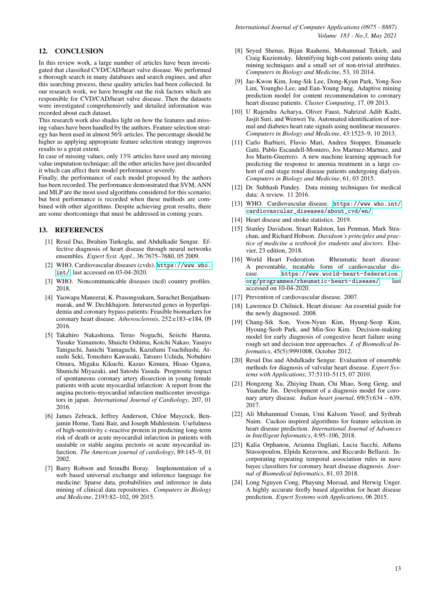# <span id="page-12-8"></span>12. CONCLUSION

In this review work, a large number of articles have been investigated that classified CVD/CAD/heart valve disease. We performed a thorough search in many databases and search engines, and after this searching process, these quality articles had been collected. In our research work, we have brought out the risk factors which are responsible for CVD/CAD/heart valve disease. Then the datasets were investigated comprehensively and detailed information was recorded about each dataset.

This research work also shades light on how the features and missing values have been handled by the authors. Feature selection strategy has been used in almost 56% articles. The percentage should be higher as applying appropriate feature selection strategy improves results to a great extent.

In case of missing values, only 13% articles have used any missing value imputation technique; all the other articles have just discarded it which can affect their model performance severely.

Finally, the performance of each model proposed by the authors has been recorded. The performance demonstrated that SVM, ANN and MLP are the most used algorithms considered for this scenario; but best performance is recorded when these methods are combined with other algorithms. Despite achieving great results, there are some shortcomings that must be addressed in coming years.

#### 13. REFERENCES

- <span id="page-12-0"></span>[1] Resul Das, Ibrahim Turkoglu, and Abdulkadir Sengur. Effective diagnosis of heart disease through neural networks ensembles. *Expert Syst. Appl.*, 36:7675–7680, 05 2009.
- <span id="page-12-1"></span>[2] WHO. Cardiovascular diseases (cvds). [https://www.who.](https://www.who.int/) [int/](https://www.who.int/), last accessed on 03-04-2020.
- <span id="page-12-2"></span>[3] WHO. Noncommunicable diseases (ncd) country profiles. 2018.
- <span id="page-12-3"></span>[4] Yaowapa Maneerat, K. Prasongsukarn, Surachet Benjathummarak, and W. Dechkhajorn. Intersected genes in hyperlipidemia and coronary bypass patients: Feasible biomarkers for coronary heart disease. *Atherosclerosis*, 252:e183–e184, 09 2016.
- [5] Takahiro Nakashima, Teruo Noguchi, Seiichi Haruta, Yusuke Yamamoto, Shuichi Oshima, Koichi Nakao, Yasuyo Taniguchi, Junichi Yamaguchi, Kazufumi Tsuchihashi, Atsushi Seki, Tomohiro Kawasaki, Tatsuro Uchida, Nobuhiro Omura, Migaku Kikuchi, Kazuo Kimura, Hisao Ogawa, Shunichi Miyazaki, and Satoshi Yasuda. Prognostic impact of spontaneous coronary artery dissection in young female patients with acute myocardial infarction: A report from the angina pectoris-myocardial infarction multicenter investigators in japan. *International Journal of Cardiology*, 207, 01 2016.
- <span id="page-12-4"></span>[6] James Zebrack, Jeffrey Anderson, Chloe Maycock, Benjamin Horne, Tami Bair, and Joseph Muhlestein. Usefulness of high-sensitivity c-reactive protein in predicting long-term risk of death or acute myocardial infarction in patients with unstable or stable angina pectoris or acute myocardial infarction. *The American journal of cardiology*, 89:145–9, 01 2002.
- <span id="page-12-5"></span>[7] Barry Robson and Srinidhi Boray. Implementation of a web based universal exchange and inference language for medicine: Sparse data, probabilities and inference in data mining of clinical data repositories. *Computers in Biology and Medicine*, 2193:82–102, 09 2015.
- [8] Seyed Shenas, Bijan Raahemi, Mohammad Tekieh, and Craig Kuziemsky. Identifying high-cost patients using data mining techniques and a small set of non-trivial attributes. *Computers in Biology and Medicine*, 53, 10 2014.
- [9] Jae-Kwon Kim, Jong-Sik Lee, Dong-Kyun Park, Yong-Soo Lim, Youngho Lee, and Eun-Young Jung. Adaptive mining prediction model for content recommendation to coronary heart disease patients. *Cluster Computing*, 17, 09 2013.
- [10] U Rajendra Acharya, Oliver Faust, Nahrizul Adib Kadri, Jasjit Suri, and Wenwei Yu. Automated identification of normal and diabetes heart rate signals using nonlinear measures. *Computers in Biology and Medicine*, 43:1523–9, 10 2013.
- <span id="page-12-6"></span>[11] Carlo Barbieri, Flavio Mari, Andrea Stopper, Emanuele Gatti, Pablo Escandell-Montero, Jos Martnez-Martnez, and Jos Martn-Guerrero. A new machine learning approach for predicting the response to anemia treatment in a large cohort of end stage renal disease patients undergoing dialysis. *Computers in Biology and Medicine*, 61, 03 2015.
- <span id="page-12-7"></span>[12] Dr. Subhash Pandey. Data mining techniques for medical data: A review. 11 2016.
- <span id="page-12-9"></span>[13] WHO. Cardiovascular disease. [https://www.who.int/](https://www.who.int/cardiovascular_diseases/about_cvd/en/) [cardiovascular\\_diseases/about\\_cvd/en/](https://www.who.int/cardiovascular_diseases/about_cvd/en/).
- <span id="page-12-10"></span>[14] Heart disease and stroke statistics. 2019.
- <span id="page-12-11"></span>[15] Stanley Davidson, Stuart Ralston, Ian Penman, Mark Strachan, and Richard Hobson. *Davidson's principles and practice of medicine a textbook for students and doctors*. Elsevier, 23 edition, 2018.
- <span id="page-12-12"></span>[16] World Heart Federation. Rheumatic heart disease: A preventable, treatable form of cardiovascular disease. [https://www.world-heart-federation.](https://www.world-heart-federation.org/programmes/rheumatic-heart-disease/) [org/programmes/rheumatic-heart-disease/](https://www.world-heart-federation.org/programmes/rheumatic-heart-disease/), last accessed on 10-04-2020.
- <span id="page-12-13"></span>[17] Prevention of cardiovascular disease. 2007.
- <span id="page-12-14"></span>[18] Lawrence D. Chilnick. Heart disease: An essential guide for the newly diagnosed. 2008.
- <span id="page-12-15"></span>[19] Chang-Sik Son, Yoon-Nyun Kim, Hyung-Seop Kim, Hyoung-Seob Park, and Min-Soo Kim. Decision-making model for early diagnosis of congestive heart failure using rough set and decision tree approaches. *J. of Biomedical Informatics*, 45(5):9991008, October 2012.
- <span id="page-12-16"></span>[20] Resul Das and Abdulkadir Sengur. Evaluation of ensemble methods for diagnosis of valvular heart disease. *Expert Systems with Applications*, 37:5110–5115, 07 2010.
- <span id="page-12-17"></span>[21] Hongzeng Xu, Zhiying Duan, Chi Miao, Song Geng, and Yuanzhe Jin. Development of a diagnosis model for coronary artery disease. *Indian heart journal*, 69(5):634 – 639, 2017.
- <span id="page-12-18"></span>[22] Ali Muhammad Usman, Umi Kalsom Yusof, and Syibrah Naim. Cuckoo inspired algorithms for feature selection in heart disease prediction. *International Journal of Advances in Intelligent Informatics*, 4:95–106, 2018.
- <span id="page-12-19"></span>[23] Kalia Orphanou, Arianna Dagliati, Lucia Sacchi, Athena Stassopoulou, Elpida Keravnou, and Riccardo Bellazzi. Incorporating repeating temporal association rules in nave bayes classifiers for coronary heart disease diagnosis. *Journal of Biomedical Informatics*, 81, 03 2018.
- <span id="page-12-20"></span>[24] Long Nguyen Cong, Phayung Meesad, and Herwig Unger. A highly accurate firefly based algorithm for heart disease prediction. *Expert Systems with Applications*, 06 2015.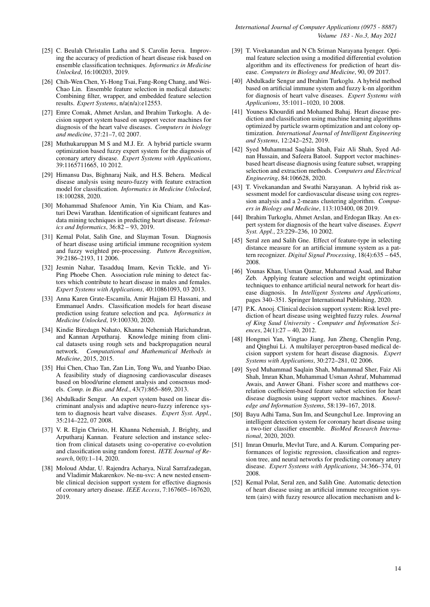- <span id="page-13-0"></span>[25] C. Beulah Christalin Latha and S. Carolin Jeeva. Improving the accuracy of prediction of heart disease risk based on ensemble classification techniques. *Informatics in Medicine Unlocked*, 16:100203, 2019.
- <span id="page-13-1"></span>[26] Chih-Wen Chen, Yi-Hong Tsai, Fang-Rong Chang, and Wei-Chao Lin. Ensemble feature selection in medical datasets: Combining filter, wrapper, and embedded feature selection results. *Expert Systems*, n/a(n/a):e12553.
- <span id="page-13-2"></span>[27] Emre Comak, Ahmet Arslan, and Ibrahim Turkoglu. A decision support system based on support vector machines for diagnosis of the heart valve diseases. *Computers in biology and medicine*, 37:21–7, 02 2007.
- <span id="page-13-3"></span>[28] Muthukaruppan M S and M.J. Er. A hybrid particle swarm optimization based fuzzy expert system for the diagnosis of coronary artery disease. *Expert Systems with Applications*, 39:1165711665, 10 2012.
- <span id="page-13-4"></span>[29] Himansu Das, Bighnaraj Naik, and H.S. Behera. Medical disease analysis using neuro-fuzzy with feature extraction model for classification. *Informatics in Medicine Unlocked*, 18:100288, 2020.
- <span id="page-13-5"></span>[30] Mohammad Shafenoor Amin, Yin Kia Chiam, and Kasturi Dewi Varathan. Identification of significant features and data mining techniques in predicting heart disease. *Telematics and Informatics*, 36:82 – 93, 2019.
- <span id="page-13-6"></span>[31] Kemal Polat, Salih Gne, and Slayman Tosun. Diagnosis of heart disease using artificial immune recognition system and fuzzy weighted pre-processing. *Pattern Recognition*, 39:2186–2193, 11 2006.
- <span id="page-13-7"></span>[32] Jesmin Nahar, Tasadduq Imam, Kevin Tickle, and Yi-Ping Phoebe Chen. Association rule mining to detect factors which contribute to heart disease in males and females. *Expert Systems with Applications*, 40:10861093, 03 2013.
- <span id="page-13-8"></span>[33] Anna Karen Grate-Escamila, Amir Hajjam El Hassani, and Emmanuel Andrs. Classification models for heart disease prediction using feature selection and pca. *Informatics in Medicine Unlocked*, 19:100330, 2020.
- <span id="page-13-9"></span>[34] Kindie Biredagn Nahato, Khanna Nehemiah Harichandran, and Kannan Arputharaj. Knowledge mining from clinical datasets using rough sets and backpropagation neural network. *Computational and Mathematical Methods in Medicine*, 2015, 2015.
- <span id="page-13-10"></span>[35] Hui Chen, Chao Tan, Zan Lin, Tong Wu, and Yuanbo Diao. A feasibility study of diagnosing cardiovascular diseases based on blood/urine element analysis and consensus models. *Comp. in Bio. and Med.*, 43(7):865–869, 2013.
- <span id="page-13-11"></span>[36] Abdulkadir Sengur. An expert system based on linear discriminant analysis and adaptive neuro-fuzzy inference system to diagnosis heart valve diseases. *Expert Syst. Appl.*, 35:214–222, 07 2008.
- <span id="page-13-12"></span>[37] V. R. Elgin Christo, H. Khanna Nehemiah, J. Brighty, and Arputharaj Kannan. Feature selection and instance selection from clinical datasets using co-operative co-evolution and classification using random forest. *IETE Journal of Research*, 0(0):1–14, 2020.
- <span id="page-13-13"></span>[38] Moloud Abdar, U. Rajendra Acharya, Nizal Sarrafzadegan, and Vladimir Makarenkov. Ne-nu-svc: A new nested ensemble clinical decision support system for effective diagnosis of coronary artery disease. *IEEE Access*, 7:167605–167620, 2019.
- <span id="page-13-14"></span>[39] T. Vivekanandan and N Ch Sriman Narayana Iyenger. Optimal feature selection using a modified differential evolution algorithm and its effectiveness for prediction of heart disease. *Computers in Biology and Medicine*, 90, 09 2017.
- <span id="page-13-15"></span>[40] Abdulkadir Sengur and Ibrahim Turkoglu. A hybrid method based on artificial immune system and fuzzy k-nn algorithm for diagnosis of heart valve diseases. *Expert Systems with Applications*, 35:1011–1020, 10 2008.
- <span id="page-13-16"></span>[41] Youness Khourdifi and Mohamed Bahai. Heart disease prediction and classification using machine learning algorithms optimized by particle swarm optimization and ant colony optimization. *International Journal of Intelligent Engineering and Systems*, 12:242–252, 2019.
- <span id="page-13-17"></span>[42] Syed Muhammad Saqlain Shah, Faiz Ali Shah, Syed Adnan Hussain, and Safeera Batool. Support vector machinesbased heart disease diagnosis using feature subset, wrapping selection and extraction methods. *Computers and Electrical Engineering*, 84:106628, 2020.
- <span id="page-13-18"></span>[43] T. Vivekanandan and Swathi Narayanan. A hybrid risk assessment model for cardiovascular disease using cox regression analysis and a 2-means clustering algorithm. *Computers in Biology and Medicine*, 113:103400, 08 2019.
- <span id="page-13-19"></span>[44] Ibrahim Turkoglu, Ahmet Arslan, and Erdogan Ilkay. An expert system for diagnosis of the heart valve diseases. *Expert Syst. Appl.*, 23:229–236, 10 2002.
- <span id="page-13-20"></span>[45] Seral zen and Salih Gne. Effect of feature-type in selecting distance measure for an artificial immune system as a pattern recognizer. *Digital Signal Processing*, 18(4):635 – 645, 2008.
- <span id="page-13-21"></span>[46] Younas Khan, Usman Qamar, Muhammad Asad, and Babar Zeb. Applying feature selection and weight optimization techniques to enhance artificial neural network for heart disease diagnosis. In *Intelligent Systems and Applications*, pages 340–351. Springer International Publishing, 2020.
- <span id="page-13-22"></span>[47] P.K. Anooj. Clinical decision support system: Risk level prediction of heart disease using weighted fuzzy rules. *Journal of King Saud University - Computer and Information Sciences*, 24(1):27 – 40, 2012.
- <span id="page-13-23"></span>[48] Hongmei Yan, Yingtao Jiang, Jun Zheng, Chenglin Peng, and Qinghui Li. A multilayer perceptron-based medical decision support system for heart disease diagnosis. *Expert Systems with Applications*, 30:272–281, 02 2006.
- <span id="page-13-24"></span>[49] Syed Muhammad Saqlain Shah, Muhammad Sher, Faiz Ali Shah, Imran Khan, Muhammad Usman Ashraf, Muhammad Awais, and Anwer Ghani. Fisher score and matthews correlation coefficient-based feature subset selection for heart disease diagnosis using support vector machines. *Knowledge and Information Systems*, 58:139–167, 2018.
- <span id="page-13-25"></span>[50] Bayu Adhi Tama, Sun Im, and Seungchul Lee. Improving an intelligent detection system for coronary heart disease using a two-tier classifier ensemble. *BioMed Research International*, 2020, 2020.
- <span id="page-13-26"></span>[51] Imran Omurlu, Mevlut Ture, and A. Kurum. Comparing performances of logistic regression, classification and regression tree, and neural networks for predicting coronary artery disease. *Expert Systems with Applications*, 34:366–374, 01 2008.
- <span id="page-13-27"></span>[52] Kemal Polat, Seral zen, and Salih Gne. Automatic detection of heart disease using an artificial immune recognition system (airs) with fuzzy resource allocation mechanism and k-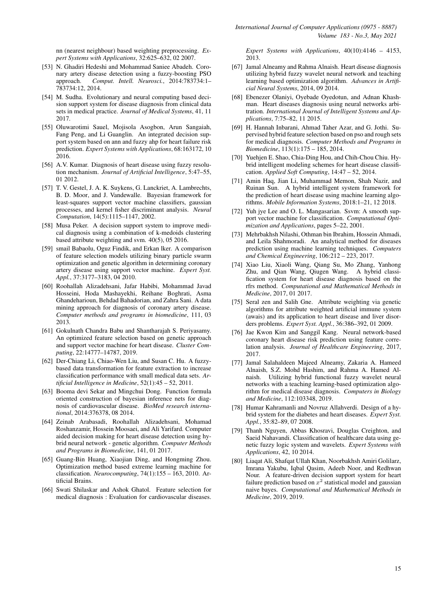nn (nearest neighbour) based weighting preprocessing. *Expert Systems with Applications*, 32:625–632, 02 2007.

- <span id="page-14-0"></span>[53] N. Ghadiri Hedeshi and Mohammad Saniee Abadeh. Coronary artery disease detection using a fuzzy-boosting PSO approach. *Comput. Intell. Neurosci.*, 2014:783734:1– 783734:12, 2014.
- <span id="page-14-1"></span>[54] M. Sudha. Evolutionary and neural computing based decision support system for disease diagnosis from clinical data sets in medical practice. *Journal of Medical Systems*, 41, 11 2017.
- <span id="page-14-2"></span>[55] Oluwarotimi Sauel, Mojisola Asogbon, Arun Sangaiah, Fang Peng, and Li Guanglin. An integrated decision support system based on ann and fuzzy ahp for heart failure risk prediction. *Expert Systems with Applications*, 68:163172, 10 2016.
- <span id="page-14-3"></span>[56] A.V. Kumar. Diagnosis of heart disease using fuzzy resolution mechanism. *Journal of Artificial Intelligence*, 5:47–55, 01 2012.
- <span id="page-14-4"></span>[57] T. V. Gestel, J. A. K. Suykens, G. Lanckriet, A. Lambrechts, B. D. Moor, and J. Vandewalle. Bayesian framework for least-squares support vector machine classifiers, gaussian processes, and kernel fisher discriminant analysis. *Neural Computation*, 14(5):1115–1147, 2002.
- <span id="page-14-5"></span>[58] Musa Peker. A decision support system to improve medical diagnosis using a combination of k-medoids clustering based attribute weighting and svm. 40(5), 05 2016.
- <span id="page-14-6"></span>[59] smail Babaolu, Oguz Findik, and Erkan lker. A comparison of feature selection models utilizing binary particle swarm optimization and genetic algorithm in determining coronary artery disease using support vector machine. *Expert Syst. Appl.*, 37:3177–3183, 04 2010.
- <span id="page-14-7"></span>[60] Roohallah Alizadehsani, Jafar Habibi, Mohammad Javad Hosseini, Hoda Mashayekhi, Reihane Boghrati, Asma Ghandeharioun, Behdad Bahadorian, and Zahra Sani. A data mining approach for diagnosis of coronary artery disease. *Computer methods and programs in biomedicine*, 111, 03 2013.
- <span id="page-14-8"></span>[61] Gokulnath Chandra Babu and Shantharajah S. Periyasamy. An optimized feature selection based on genetic approach and support vector machine for heart disease. *Cluster Computing*, 22:14777–14787, 2019.
- <span id="page-14-9"></span>[62] Der-Chiang Li, Chiao-Wen Liu, and Susan C. Hu. A fuzzybased data transformation for feature extraction to increase classification performance with small medical data sets. *Artificial Intelligence in Medicine*, 52(1):45 – 52, 2011.
- <span id="page-14-10"></span>[63] Booma devi Sekar and Mingchui Dong. Function formula oriented construction of bayesian inference nets for diagnosis of cardiovascular disease. *BioMed research international*, 2014:376378, 08 2014.
- <span id="page-14-11"></span>[64] Zeinab Arabasadi, Roohallah Alizadehsani, Mohamad Roshanzamir, Hossein Moosaei, and Ali Yarifard. Computer aided decision making for heart disease detection using hybrid neural network - genetic algorithm. *Computer Methods and Programs in Biomedicine*, 141, 01 2017.
- <span id="page-14-12"></span>[65] Guang-Bin Huang, Xiaojian Ding, and Hongming Zhou. Optimization method based extreme learning machine for classification. *Neurocomputing*, 74(1):155 – 163, 2010. Artificial Brains.
- <span id="page-14-13"></span>[66] Swati Shilaskar and Ashok Ghatol. Feature selection for medical diagnosis : Evaluation for cardiovascular diseases.

*Expert Systems with Applications*, 40(10):4146 – 4153, 2013.

- <span id="page-14-14"></span>[67] Jamal Alneamy and Rahma Alnaish. Heart disease diagnosis utilizing hybrid fuzzy wavelet neural network and teaching learning based optimization algorithm. *Advances in Artificial Neural Systems*, 2014, 09 2014.
- <span id="page-14-15"></span>[68] Ebenezer Olaniyi, Oyebade Oyedotun, and Adnan Khashman. Heart diseases diagnosis using neural networks arbitration. *International Journal of Intelligent Systems and Applications*, 7:75–82, 11 2015.
- <span id="page-14-16"></span>[69] H. Hannah Inbarani, Ahmad Taher Azar, and G. Jothi. Supervised hybrid feature selection based on pso and rough sets for medical diagnosis. *Computer Methods and Programs in Biomedicine*, 113(1):175 – 185, 2014.
- <span id="page-14-17"></span>[70] Yuehjen E. Shao, Chia-Ding Hou, and Chih-Chou Chiu. Hybrid intelligent modeling schemes for heart disease classification. *Applied Soft Computing*, 14:47 – 52, 2014.
- <span id="page-14-18"></span>[71] Amin Haq, Jian Li, Muhammad Memon, Shah Nazir, and Ruinan Sun. A hybrid intelligent system framework for the prediction of heart disease using machine learning algorithms. *Mobile Information Systems*, 2018:1–21, 12 2018.
- <span id="page-14-19"></span>[72] Yuh jye Lee and O. L. Mangasarian. Ssvm: A smooth support vector machine for classification. *Computational Optimization and Applications*, pages 5–22, 2001.
- <span id="page-14-20"></span>[73] Mehrbakhsh Nilashi, Othman bin Ibrahim, Hossein Ahmadi, and Leila Shahmoradi. An analytical method for diseases prediction using machine learning techniques. *Computers and Chemical Engineering*, 106:212 – 223, 2017.
- <span id="page-14-21"></span>[74] Xiao Liu, Xiaoli Wang, Qiang Su, Mo Zhang, Yanhong Zhu, and Qian Wang, Qiugen Wang. A hybrid classification system for heart disease diagnosis based on the rfrs method. *Computational and Mathematical Methods in Medicine*, 2017, 01 2017.
- <span id="page-14-22"></span>[75] Seral zen and Salih Gne. Attribute weighting via genetic algorithms for attribute weighted artificial immune system (awais) and its application to heart disease and liver disorders problems. *Expert Syst. Appl.*, 36:386–392, 01 2009.
- <span id="page-14-23"></span>[76] Jae Kwon Kim and Sanggil Kang. Neural network-based coronary heart disease risk prediction using feature correlation analysis. *Journal of Healthcare Engineering*, 2017, 2017.
- <span id="page-14-24"></span>[77] Jamal Salahaldeen Majeed Alneamy, Zakaria A. Hameed Alnaish, S.Z. Mohd Hashim, and Rahma A. Hamed Alnaish. Utilizing hybrid functional fuzzy wavelet neural networks with a teaching learning-based optimization algorithm for medical disease diagnosis. *Computers in Biology and Medicine*, 112:103348, 2019.
- <span id="page-14-25"></span>[78] Humar Kahramanli and Novruz Allahverdi. Design of a hybrid system for the diabetes and heart diseases. *Expert Syst. Appl.*, 35:82–89, 07 2008.
- <span id="page-14-26"></span>[79] Thanh Nguyen, Abbas Khosravi, Douglas Creighton, and Saeid Nahavandi. Classification of healthcare data using genetic fuzzy logic system and wavelets. *Expert Systems with Applications*, 42, 10 2014.
- <span id="page-14-27"></span>[80] Liaqat Ali, Shafqat Ullah Khan, Noorbakhsh Amiri Golilarz, Imrana Yakubu, Iqbal Qasim, Adeeb Noor, and Redhwan Nour. A feature-driven decision support system for heart failure prediction based on  $x^2$  statistical model and gaussian naive bayes. *Computational and Mathematical Methods in Medicine*, 2019, 2019.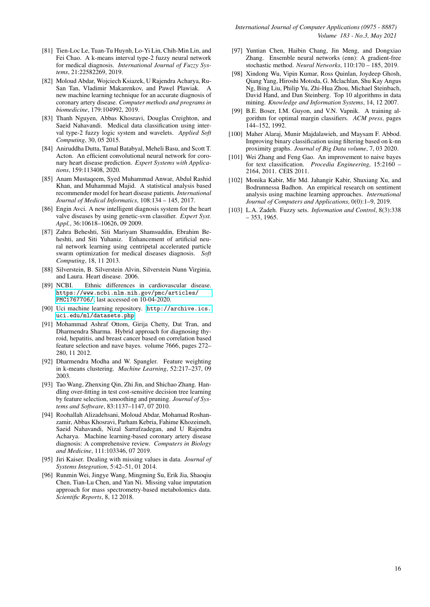- <span id="page-15-0"></span>[81] Tien-Loc Le, Tuan-Tu Huynh, Lo-Yi Lin, Chih-Min Lin, and Fei Chao. A k-means interval type-2 fuzzy neural network for medical diagnosis. *International Journal of Fuzzy Systems*, 21:22582269, 2019.
- <span id="page-15-1"></span>[82] Moloud Abdar, Wojciech Ksiazek, U Rajendra Acharya, Ru-San Tan, Vladimir Makarenkov, and Pawel Plawiak. A new machine learning technique for an accurate diagnosis of coronary artery disease. *Computer methods and programs in biomedicine*, 179:104992, 2019.
- <span id="page-15-2"></span>[83] Thanh Nguyen, Abbas Khosravi, Douglas Creighton, and Saeid Nahavandi. Medical data classification using interval type-2 fuzzy logic system and wavelets. *Applied Soft Computing*, 30, 05 2015.
- <span id="page-15-3"></span>[84] Aniruddha Dutta, Tamal Batabyal, Meheli Basu, and Scott T. Acton. An efficient convolutional neural network for coronary heart disease prediction. *Expert Systems with Applications*, 159:113408, 2020.
- <span id="page-15-4"></span>[85] Anam Mustaqeem, Syed Muhammad Anwar, Abdul Rashid Khan, and Muhammad Majid. A statistical analysis based recommender model for heart disease patients. *International Journal of Medical Informatics*, 108:134 – 145, 2017.
- <span id="page-15-5"></span>[86] Engin Avci. A new intelligent diagnosis system for the heart valve diseases by using genetic-svm classifier. *Expert Syst. Appl.*, 36:10618–10626, 09 2009.
- <span id="page-15-6"></span>[87] Zahra Beheshti, Siti Mariyam Shamsuddin, Ebrahim Beheshti, and Siti Yuhaniz. Enhancement of artificial neural network learning using centripetal accelerated particle swarm optimization for medical diseases diagnosis. *Soft Computing*, 18, 11 2013.
- <span id="page-15-7"></span>[88] Silverstein, B. Silverstein Alvin, Silverstein Nunn Virginia, and Laura. Heart disease. 2006.
- <span id="page-15-8"></span>[89] NCBI. Ethnic differences in cardiovascular disease. [https://www.ncbi.nlm.nih.gov/pmc/articles/](https://www.ncbi.nlm.nih.gov/pmc/articles/PMC1767706/) [PMC1767706/](https://www.ncbi.nlm.nih.gov/pmc/articles/PMC1767706/), last accessed on 10-04-2020.
- <span id="page-15-9"></span>[90] Uci machine learning repository. [http://archive.ics.](http://archive.ics.uci.edu/ml/datasets.php) [uci.edu/ml/datasets.php](http://archive.ics.uci.edu/ml/datasets.php).
- <span id="page-15-10"></span>[91] Mohammad Ashraf Ottom, Girija Chetty, Dat Tran, and Dharmendra Sharma. Hybrid approach for diagnosing thyroid, hepatitis, and breast cancer based on correlation based feature selection and nave bayes. volume 7666, pages 272– 280, 11 2012.
- <span id="page-15-11"></span>[92] Dharmendra Modha and W. Spangler. Feature weighting in k-means clustering. *Machine Learning*, 52:217–237, 09 2003.
- <span id="page-15-12"></span>[93] Tao Wang, Zhenxing Qin, Zhi Jin, and Shichao Zhang. Handling over-fitting in test cost-sensitive decision tree learning by feature selection, smoothing and pruning. *Journal of Systems and Software*, 83:1137–1147, 07 2010.
- <span id="page-15-13"></span>[94] Roohallah Alizadehsani, Moloud Abdar, Mohamad Roshanzamir, Abbas Khosravi, Parham Kebria, Fahime Khozeimeh, Saeid Nahavandi, Nizal Sarrafzadegan, and U Rajendra Acharya. Machine learning-based coronary artery disease diagnosis: A comprehensive review. *Computers in Biology and Medicine*, 111:103346, 07 2019.
- <span id="page-15-14"></span>[95] Jiri Kaiser. Dealing with missing values in data. *Journal of Systems Integration*, 5:42–51, 01 2014.
- <span id="page-15-15"></span>[96] Runmin Wei, Jingye Wang, Mingming Su, Erik Jia, Shaoqiu Chen, Tian-Lu Chen, and Yan Ni. Missing value imputation approach for mass spectrometry-based metabolomics data. *Scientific Reports*, 8, 12 2018.
- <span id="page-15-16"></span>[97] Yuntian Chen, Haibin Chang, Jin Meng, and Dongxiao Zhang. Ensemble neural networks (enn): A gradient-free stochastic method. *Neural Networks*, 110:170 – 185, 2019.
- <span id="page-15-17"></span>[98] Xindong Wu, Vipin Kumar, Ross Quinlan, Joydeep Ghosh, Qiang Yang, Hiroshi Motoda, G. Mclachlan, Shu Kay Angus Ng, Bing Liu, Philip Yu, Zhi-Hua Zhou, Michael Steinbach, David Hand, and Dan Steinberg. Top 10 algorithms in data mining. *Knowledge and Information Systems*, 14, 12 2007.
- <span id="page-15-18"></span>[99] B.E. Boser, I.M. Guyon, and V.N. Vapnik. A training algorithm for optimal margin classifiers. *ACM press*, pages 144–152, 1992.
- <span id="page-15-19"></span>[100] Maher Alaraj, Munir Majdalawieh, and Maysam F. Abbod. Improving binary classification using filtering based on k-nn proximity graphs. *Journal of Big Data volume*, 7, 03 2020.
- <span id="page-15-20"></span>[101] Wei Zhang and Feng Gao. An improvement to naive bayes for text classification. *Procedia Engineering*, 15:2160 – 2164, 2011. CEIS 2011.
- <span id="page-15-21"></span>[102] Monika Kabir, Mir Md. Jahangir Kabir, Shuxiang Xu, and Bodrunnessa Badhon. An empirical research on sentiment analysis using machine learning approaches. *International Journal of Computers and Applications*, 0(0):1–9, 2019.
- <span id="page-15-22"></span>[103] L.A. Zadeh. Fuzzy sets. *Information and Control*, 8(3):338 – 353, 1965.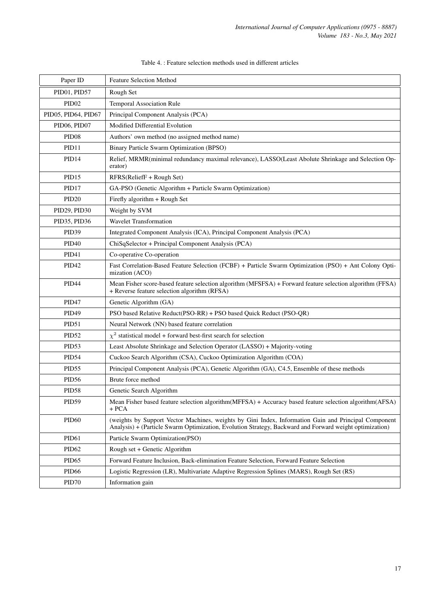<span id="page-16-0"></span>

| Paper ID            | <b>Feature Selection Method</b>                                                                                                                                                                                 |
|---------------------|-----------------------------------------------------------------------------------------------------------------------------------------------------------------------------------------------------------------|
| PID01, PID57        | Rough Set                                                                                                                                                                                                       |
| PID <sub>02</sub>   | Temporal Association Rule                                                                                                                                                                                       |
| PID05, PID64, PID67 | Principal Component Analysis (PCA)                                                                                                                                                                              |
| PID06, PID07        | Modified Differential Evolution                                                                                                                                                                                 |
| PID <sub>08</sub>   | Authors' own method (no assigned method name)                                                                                                                                                                   |
| PID11               | Binary Particle Swarm Optimization (BPSO)                                                                                                                                                                       |
| PID14               | Relief, MRMR(minimal redundancy maximal relevance), LASSO(Least Abolute Shrinkage and Selection Op-<br>erator)                                                                                                  |
| PID <sub>15</sub>   | RFRS(ReliefF + Rough Set)                                                                                                                                                                                       |
| PID17               | GA-PSO (Genetic Algorithm + Particle Swarm Optimization)                                                                                                                                                        |
| PID <sub>20</sub>   | Firefly algorithm + Rough Set                                                                                                                                                                                   |
| PID29, PID30        | Weight by SVM                                                                                                                                                                                                   |
| PID35, PID36        | <b>Wavelet Transformation</b>                                                                                                                                                                                   |
| PID39               | Integrated Component Analysis (ICA), Principal Component Analysis (PCA)                                                                                                                                         |
| PID <sub>40</sub>   | ChiSqSelector + Principal Component Analysis (PCA)                                                                                                                                                              |
| PID <sub>41</sub>   | Co-operative Co-operation                                                                                                                                                                                       |
| PID <sub>42</sub>   | Fast Correlation-Based Feature Selection (FCBF) + Particle Swarm Optimization (PSO) + Ant Colony Opti-<br>mization (ACO)                                                                                        |
| <b>PID44</b>        | Mean Fisher score-based feature selection algorithm (MFSFSA) + Forward feature selection algorithm (FFSA)<br>+ Reverse feature selection algorithm (RFSA)                                                       |
| PID <sub>47</sub>   | Genetic Algorithm (GA)                                                                                                                                                                                          |
| PID49               | PSO based Relative Reduct(PSO-RR) + PSO based Quick Reduct (PSO-QR)                                                                                                                                             |
| PID51               | Neural Network (NN) based feature correlation                                                                                                                                                                   |
| PID52               | $\chi^2$ statistical model + forward best-first search for selection                                                                                                                                            |
| PID <sub>53</sub>   | Least Absolute Shrinkage and Selection Operator (LASSO) + Majority-voting                                                                                                                                       |
| PID54               | Cuckoo Search Algorithm (CSA), Cuckoo Optimization Algorithm (COA)                                                                                                                                              |
| PID <sub>55</sub>   | Principal Component Analysis (PCA), Genetic Algorithm (GA), C4.5, Ensemble of these methods                                                                                                                     |
| PID56               | Brute force method                                                                                                                                                                                              |
| PID58               | Genetic Search Algorithm                                                                                                                                                                                        |
| PID <sub>59</sub>   | Mean Fisher based feature selection algorithm(MFFSA) + Accuracy based feature selection algorithm(AFSA)<br>$+ PCA$                                                                                              |
| PID <sub>60</sub>   | (weights by Support Vector Machines, weights by Gini Index, Information Gain and Principal Component<br>Analysis) + (Particle Swarm Optimization, Evolution Strategy, Backward and Forward weight optimization) |
| PID <sub>61</sub>   | Particle Swarm Optimization(PSO)                                                                                                                                                                                |
| PID <sub>62</sub>   | Rough set + Genetic Algorithm                                                                                                                                                                                   |
| PID <sub>65</sub>   | Forward Feature Inclusion, Back-elimination Feature Selection, Forward Feature Selection                                                                                                                        |
| PID <sub>66</sub>   | Logistic Regression (LR), Multivariate Adaptive Regression Splines (MARS), Rough Set (RS)                                                                                                                       |
| PID70               | Information gain                                                                                                                                                                                                |

# Table 4. : Feature selection methods used in different articles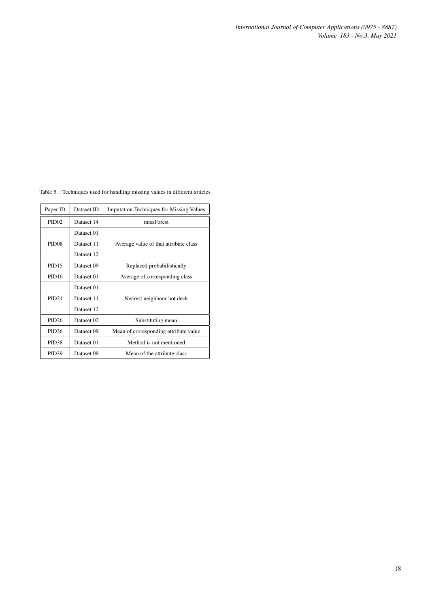*International Journal of Computer Applications (0975 - 8887) Volume 183 - No.3, May 2021*

| Paper ID          | Dataset ID | <b>Imputation Techniques for Missing Values</b> |  |
|-------------------|------------|-------------------------------------------------|--|
| PID <sub>02</sub> | Dataset 14 | missForest                                      |  |
|                   | Dataset 01 |                                                 |  |
| PID <sub>08</sub> | Dataset 11 | Average value of that attribute class           |  |
|                   | Dataset 12 |                                                 |  |
| PID <sub>15</sub> | Dataset 09 | Replaced probabilistically                      |  |
| PID <sub>16</sub> | Dataset 01 | Average of corresponding class                  |  |
|                   | Dataset 01 |                                                 |  |
| PID21             | Dataset 11 | Nearest neighbour hot deck                      |  |
|                   | Dataset 12 |                                                 |  |
| <b>PID26</b>      | Dataset 02 | Substituting mean                               |  |
| <b>PID36</b>      | Dataset 09 | Mean of corresponding attribute value           |  |
| PID <sub>38</sub> | Dataset 01 | Method is not mentioned                         |  |
| PID <sub>39</sub> | Dataset 09 | Mean of the attribute class                     |  |

<span id="page-17-0"></span>Table 5. : Techniques used for handling missing values in different articles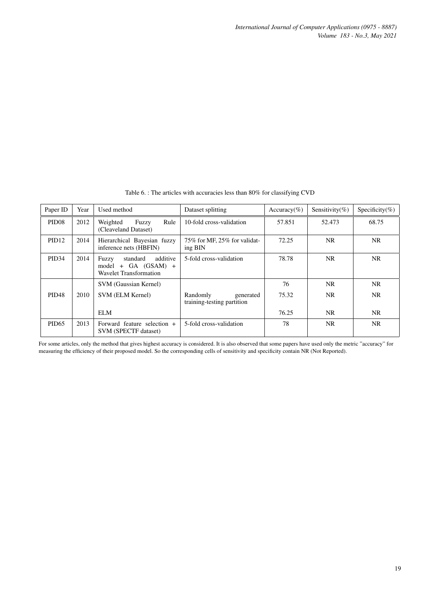<span id="page-18-0"></span>

| Paper ID          | Year | Used method                                                                      | Dataset splitting                                   | Accuracy(%) | Sensitivity(%) | Specificity(%) |
|-------------------|------|----------------------------------------------------------------------------------|-----------------------------------------------------|-------------|----------------|----------------|
| PID <sub>08</sub> | 2012 | Weighted<br>Fuzzy<br>Rule<br>(Cleaveland Dataset)                                | 10-fold cross-validation                            | 57.851      | 52.473         | 68.75          |
| PID <sub>12</sub> | 2014 | Hierarchical Bayesian fuzzy<br>inference nets (HBFIN)                            | 75% for MF, 25% for validat-<br>ing BIN             | 72.25       | NR.            | NR.            |
| <b>PID34</b>      | 2014 | additive<br>standard<br>Fuzzy<br>$model + GA (GSAM) +$<br>Wavelet Transformation | 5-fold cross-validation                             | 78.78       | NR.            | NR.            |
|                   |      | SVM (Gaussian Kernel)                                                            |                                                     | 76          | NR.            | NR.            |
| <b>PID48</b>      | 2010 | SVM (ELM Kernel)                                                                 | Randomly<br>generated<br>training-testing partition | 75.32       | NR.            | NR.            |
|                   |      | <b>ELM</b>                                                                       |                                                     | 76.25       | NR.            | NR.            |
| <b>PID65</b>      | 2013 | Forward feature selection +<br><b>SVM (SPECTF dataset)</b>                       | 5-fold cross-validation                             | 78          | NR.            | NR.            |

Table 6. : The articles with accuracies less than 80% for classifying CVD

For some articles, only the method that gives highest accuracy is considered. It is also observed that some papers have used only the metric "accuracy" for measuring the efficiency of their proposed model. So the corresponding cells of sensitivity and specificity contain NR (Not Reported).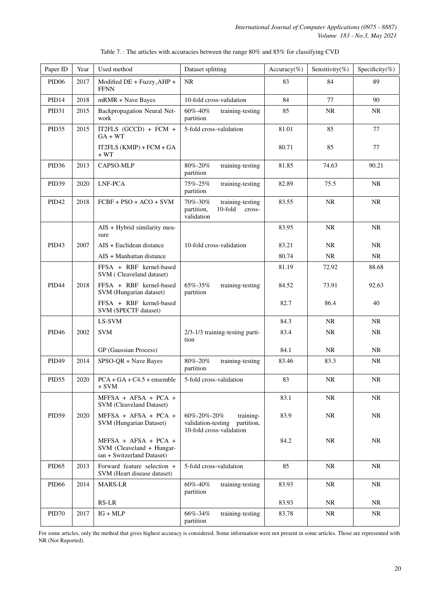<span id="page-19-0"></span>

| Paper ID          | Year | Used method                                                                     | Dataset splitting                                                                                 | Accuracy(%) | Sensitivity(%) | Specificity(%) |
|-------------------|------|---------------------------------------------------------------------------------|---------------------------------------------------------------------------------------------------|-------------|----------------|----------------|
| PID <sub>06</sub> | 2017 | Modified DE + Fuzzy_AHP +<br><b>FFNN</b>                                        | <b>NR</b>                                                                                         | 83          | 84             | 89             |
| PID <sub>14</sub> | 2018 | mRMR + Nave Bayes                                                               | 10-fold cross-validation                                                                          | 84          | 77             | 90             |
| PID31             | 2015 | Backpropagation Neural Net-<br>work                                             | 60%-40%<br>training-testing<br>partition                                                          | 85          | <b>NR</b>      | <b>NR</b>      |
| PID <sub>35</sub> | 2015 | IT2FLS (GCCD) + FCM +<br>$GA + WT$                                              | 5-fold cross-validation                                                                           | 81.01       | 85             | 77             |
|                   |      | IT2FLS $(KMIP) + FCM + GA$<br>+ WT                                              |                                                                                                   | 80.71       | 85             | 77             |
| PID <sub>36</sub> | 2013 | CAPSO-MLP                                                                       | 80%-20%<br>training-testing<br>partition                                                          | 81.85       | 74.63          | 90.21          |
| PID <sub>39</sub> | 2020 | LNF-PCA                                                                         | 75%-25%<br>training-testing<br>partition                                                          | 82.89       | 75.5           | NR             |
| <b>PID42</b>      | 2018 | $FCBF + PSO + ACO + SVM$                                                        | 70%-30%<br>training-testing<br>partition,<br>10-fold<br>cross-<br>validation                      | 83.55       | NR             | NR             |
|                   |      | AIS + Hybrid similarity mea-<br>sure                                            |                                                                                                   | 83.95       | NR             | <b>NR</b>      |
| PID <sub>43</sub> | 2007 | AIS + Euclidean distance                                                        | 10-fold cross-validation                                                                          | 83.21       | NR             | <b>NR</b>      |
|                   |      | $AIS + Manhattan$ distance                                                      |                                                                                                   | 80.74       | NR             | NR             |
|                   |      | FFSA + RBF kernel-based<br>SVM (Cleaveland dataset)                             |                                                                                                   | 81.19       | 72.92          | 88.68          |
| PID <sub>44</sub> | 2018 | FFSA + RBF kernel-based<br>SVM (Hungarian dataset)                              | 65%-35%<br>training-testing<br>partition                                                          | 84.52       | 73.91          | 92.63          |
|                   |      | FFSA + RBF kernel-based<br>SVM (SPECTF dataset)                                 |                                                                                                   | 82.7        | 86.4           | 40             |
|                   |      | LS-SVM                                                                          |                                                                                                   | 84.3        | <b>NR</b>      | <b>NR</b>      |
| PID <sub>46</sub> | 2002 | <b>SVM</b>                                                                      | 2/3-1/3 training-testing parti-<br>tion                                                           | 83.4        | <b>NR</b>      | <b>NR</b>      |
|                   |      | GP (Gaussian Process)                                                           |                                                                                                   | 84.1        | <b>NR</b>      | NR             |
| PID49             | 2014 | SPSO-QR + Nave Bayes                                                            | 80%-20%<br>training-testing<br>partition                                                          | 83.46       | 83.3           | <b>NR</b>      |
| PID55             | 2020 | $PCA + GA + C4.5 + ensemble$<br>$+$ SVM                                         | 5-fold cross-validation                                                                           | 83          | NR             | <b>NR</b>      |
|                   |      | $MFFSA + AFSA + PCA +$<br>SVM (Cleaveland Dataset)                              |                                                                                                   | 83.1        | <b>NR</b>      | <b>NR</b>      |
| PID59             | 2020 | MFFSA + AFSA + PCA +<br>SVM (Hungarian Dataset)                                 | $60\% - 20\% - 20\%$<br>training-<br>validation-testing<br>partition,<br>10-fold cross-validation | 83.9        | <b>NR</b>      | <b>NR</b>      |
|                   |      | MFFSA + AFSA + PCA +<br>SVM (Cleaveland + Hungar-<br>ian + Switzerland Dataset) |                                                                                                   | 84.2        | <b>NR</b>      | <b>NR</b>      |
| PID <sub>65</sub> | 2013 | Forward feature selection +<br>SVM (Heart disease dataset)                      | 5-fold cross-validation                                                                           | 85          | NR             | <b>NR</b>      |
| PID <sub>66</sub> | 2014 | <b>MARS-LR</b>                                                                  | 60%-40%<br>training-testing<br>partition                                                          | 83.93       | <b>NR</b>      | <b>NR</b>      |
|                   |      | $RS-LR$                                                                         |                                                                                                   | 83.93       | <b>NR</b>      | <b>NR</b>      |
| PID70             | 2017 | $IG + MLP$                                                                      | 66%-34%<br>training-testing<br>partition                                                          | 83.78       | <b>NR</b>      | <b>NR</b>      |

| Table 7.: The articles with accuracies between the range 80% and 85% for classifying CVD |  |  |
|------------------------------------------------------------------------------------------|--|--|
|                                                                                          |  |  |

For some articles, only the method that gives highest accuracy is considered. Some information were not present in some articles. Those are represented with NR (Not Reported).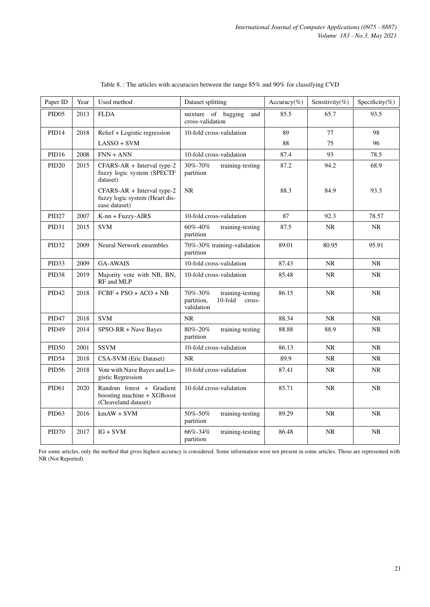<span id="page-20-0"></span>

| Paper ID          | Year | Used method                                                                    | Dataset splitting                                                               | Accuracy(%) | Sensitivity(%) | Specificity(%) |
|-------------------|------|--------------------------------------------------------------------------------|---------------------------------------------------------------------------------|-------------|----------------|----------------|
| PID <sub>05</sub> | 2013 | <b>FLDA</b>                                                                    | mixture of bagging<br>and<br>cross-validation                                   | 85.5        | 65.7           | 93.5           |
| PID <sub>14</sub> | 2018 | Relief + Logistic regression                                                   | 10-fold cross-validation                                                        | 89          | 77             | 98             |
|                   |      | $LASSO + SVM$                                                                  |                                                                                 | 88          | 75             | 96             |
| PID <sub>16</sub> | 2008 | $FNN + ANN$                                                                    | 10-fold cross-validation                                                        | 87.4        | 93             | 78.5           |
| PID <sub>20</sub> | 2015 | CFARS-AR + Interval type-2<br>fuzzy logic system (SPECTF<br>dataset)           | 30%-70%<br>training-testing<br>partition                                        | 87.2        | 94.2           | 68.9           |
|                   |      | CFARS-AR + Interval type-2<br>fuzzy logic system (Heart dis-<br>ease dataset)  | <b>NR</b>                                                                       | 88.3        | 84.9           | 93.3           |
| PID <sub>27</sub> | 2007 | K-nn + Fuzzy-AIRS                                                              | 10-fold cross-validation                                                        | 87          | 92.3           | 78.57          |
| PID31             | 2015 | <b>SVM</b>                                                                     | 60%-40%<br>training-testing<br>partition                                        | 87.5        | <b>NR</b>      | <b>NR</b>      |
| PID <sub>32</sub> | 2009 | Neural Network ensembles                                                       | 70%-30% training-validation<br>partition                                        | 89.01       | 80.95          | 95.91          |
| PID <sub>33</sub> | 2009 | <b>GA-AWAIS</b>                                                                | 10-fold cross-validation                                                        | 87.43       | <b>NR</b>      | <b>NR</b>      |
| PID <sub>38</sub> | 2019 | Majority vote with NB, BN,<br>RF and MLP                                       | 10-fold cross-validation                                                        | 85.48       | <b>NR</b>      | <b>NR</b>      |
| PID <sub>42</sub> | 2018 | $FCBF + PSO + ACO + NB$                                                        | 70%-30%<br>training-testing<br>$10$ -fold<br>partition,<br>cross-<br>validation | 86.15       | <b>NR</b>      | <b>NR</b>      |
| PID <sub>47</sub> | 2018 | <b>SVM</b>                                                                     | $\rm NR$                                                                        | 88.34       | <b>NR</b>      | <b>NR</b>      |
| <b>PID49</b>      | 2014 | SPSO-RR + Nave Bayes                                                           | 80%-20%<br>training-testing<br>partition                                        | 88.88       | 88.9           | <b>NR</b>      |
| <b>PID50</b>      | 2001 | <b>SSVM</b>                                                                    | 10-fold cross-validation                                                        | 86.13       | <b>NR</b>      | <b>NR</b>      |
| PID54             | 2018 | CSA-SVM (Eric Dataset)                                                         | <b>NR</b>                                                                       | 89.9        | NR             | <b>NR</b>      |
| PID <sub>56</sub> | 2018 | Vote with Nave Bayes and Lo-<br>gistic Regression                              | 10-fold cross-validation                                                        | 87.41       | <b>NR</b>      | <b>NR</b>      |
| PID <sub>61</sub> | 2020 | Random forest + Gradient<br>boosting machine + XGBoost<br>(Cleaveland dataset) | 10-fold cross-validation                                                        | 85.71       | <b>NR</b>      | $\rm NR$       |
| PID63             | 2016 | $kmAW + SVM$                                                                   | 50%-50%<br>training-testing<br>partition                                        | 89.29       | <b>NR</b>      | <b>NR</b>      |
| PID70             | 2017 | $IG + SVM$                                                                     | 66%-34%<br>training-testing<br>partition                                        | 86.48       | NR             | $\rm NR$       |

| Table 8.: The articles with accuracies between the range 85% and 90% for classifying CVD |  |  |
|------------------------------------------------------------------------------------------|--|--|
|------------------------------------------------------------------------------------------|--|--|

For some articles, only the method that gives highest accuracy is considered. Some information were not present in some articles. Those are represented with NR (Not Reported).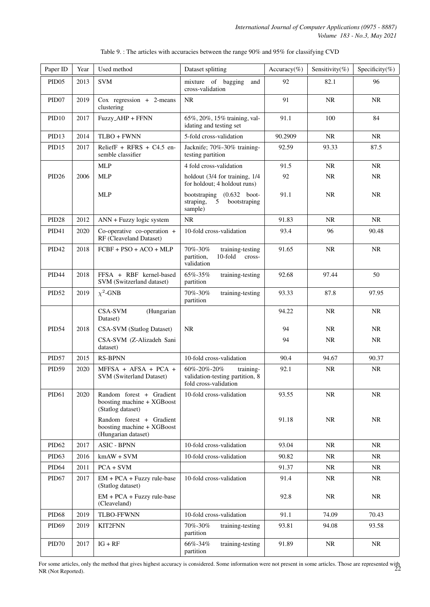<span id="page-21-0"></span>

| Paper ID          | Year | Used method                                                                   | Dataset splitting                                                                    | Accuracy(%) | Sensitivity(%) | Specificity(%) |
|-------------------|------|-------------------------------------------------------------------------------|--------------------------------------------------------------------------------------|-------------|----------------|----------------|
| PID <sub>05</sub> | 2013 | <b>SVM</b>                                                                    | mixture of bagging<br>and<br>cross-validation                                        | 92          | 82.1           | 96             |
| PID <sub>07</sub> | 2019 | $Cox$ regression + 2-means<br>clustering                                      | <b>NR</b>                                                                            | 91          | <b>NR</b>      | <b>NR</b>      |
| PID <sub>10</sub> | 2017 | Fuzzy_AHP + FFNN                                                              | 65%, 20%, 15% training, val-<br>idating and testing set                              | 91.1        | 100            | 84             |
| PID <sub>13</sub> | 2014 | TLBO + FWNN                                                                   | 5-fold cross-validation                                                              | 90.2909     | <b>NR</b>      | <b>NR</b>      |
| PID15             | 2017 | ReliefF + RFRS + $C4.5$ en-<br>semble classifier                              | Jacknife; 70%-30% training-<br>testing partition                                     | 92.59       | 93.33          | 87.5           |
|                   |      | <b>MLP</b>                                                                    | 4 fold cross-validation                                                              | 91.5        | <b>NR</b>      | NR             |
| PID <sub>26</sub> | 2006 | <b>MLP</b>                                                                    | holdout (3/4 for training, 1/4<br>for holdout; 4 holdout runs)                       | 92          | NR             | NR             |
|                   |      | <b>MLP</b>                                                                    | bootstraping (0.632 boot-<br>straping,<br>bootstraping<br>5<br>sample)               | 91.1        | <b>NR</b>      | NR             |
| PID <sub>28</sub> | 2012 | ANN + Fuzzy logic system                                                      | <b>NR</b>                                                                            | 91.83       | <b>NR</b>      | <b>NR</b>      |
| PID <sub>41</sub> | 2020 | Co-operative co-operation +<br>RF (Cleaveland Dataset)                        | 10-fold cross-validation                                                             | 93.4        | 96             | 90.48          |
| <b>PID42</b>      | 2018 | $FCBF + PSO + ACO + MLP$                                                      | 70%-30%<br>training-testing<br>10-fold<br>partition,<br>cross-<br>validation         | 91.65       | <b>NR</b>      | <b>NR</b>      |
| PID <sub>44</sub> | 2018 | FFSA + RBF kernel-based<br>SVM (Switzerland dataset)                          | 65%-35%<br>training-testing<br>partition                                             | 92.68       | 97.44          | 50             |
| PID52             | 2019 | $\chi^2$ -GNB                                                                 | 70%-30%<br>training-testing<br>partition                                             | 93.33       | 87.8           | 97.95          |
|                   |      | <b>CSA-SVM</b><br>(Hungarian<br>Dataset)                                      |                                                                                      | 94.22       | <b>NR</b>      | NR.            |
| PID54             | 2018 | CSA-SVM (Statlog Dataset)                                                     | <b>NR</b>                                                                            | 94          | <b>NR</b>      | <b>NR</b>      |
|                   |      | CSA-SVM (Z-Alizadeh Sani<br>dataset)                                          |                                                                                      | 94          | NR             | NR             |
| PID57             | 2015 | <b>RS-BPNN</b>                                                                | 10-fold cross-validation                                                             | 90.4        | 94.67          | 90.37          |
| PID59             | 2020 | MFFSA + AFSA + PCA +<br>SVM (Switerland Dataset)                              | 60%-20%-20%<br>training-<br>validation-testing partition, 8<br>fold cross-validation | 92.1        | <b>NR</b>      | NR             |
| PID61             | 2020 | Random forest + Gradient<br>boosting machine + XGBoost<br>(Statlog dataset)   | 10-fold cross-validation                                                             | 93.55       | NR             | NR             |
|                   |      | Random forest + Gradient<br>boosting machine + XGBoost<br>(Hungarian dataset) |                                                                                      | 91.18       | <b>NR</b>      | NR             |
| PID <sub>62</sub> | 2017 | <b>ASIC - BPNN</b>                                                            | 10-fold cross-validation                                                             | 93.04       | <b>NR</b>      | NR.            |
| PID <sub>63</sub> | 2016 | $kmAW + SVM$                                                                  | 10-fold cross-validation                                                             | 90.82       | <b>NR</b>      | <b>NR</b>      |
| PID <sub>64</sub> | 2011 | $PCA + SVM$                                                                   |                                                                                      | 91.37       | NR             | NR             |
| PID <sub>67</sub> | 2017 | $EM + PCA + Fuzzy rule-base$<br>(Statlog dataset)                             | 10-fold cross-validation                                                             | 91.4        | NR             | NR             |
|                   |      | EM + PCA + Fuzzy rule-base<br>(Cleaveland)                                    |                                                                                      | 92.8        | NR             | <b>NR</b>      |
| <b>PID68</b>      | 2019 | <b>TLBO-FFWNN</b>                                                             | 10-fold cross-validation                                                             | 91.1        | 74.09          | 70.43          |
| <b>PID69</b>      | 2019 | <b>KIT2FNN</b>                                                                | 70%-30%<br>training-testing<br>partition                                             | 93.81       | 94.08          | 93.58          |
| PID70             | 2017 | $IG + RF$                                                                     | 66%-34%<br>training-testing<br>partition                                             | 91.89       | NR             | NR             |

Table 9. : The articles with accuracies between the range 90% and 95% for classifying CVD

For some articles, only the method that gives highest accuracy is considered. Some information were not present in some articles. Those are represented with NR (Not Reported). 22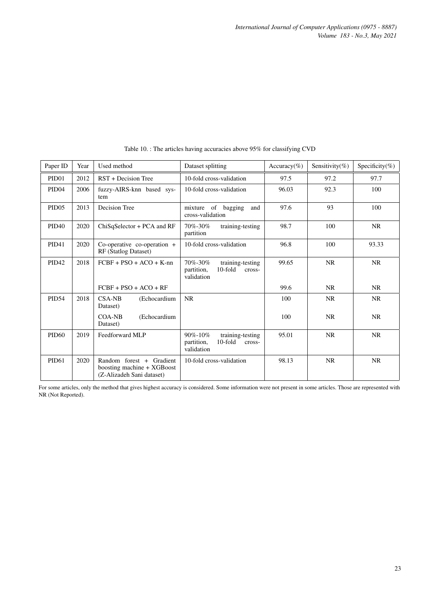<span id="page-22-0"></span>

| Paper ID          | Year | Used method                                                                         | Dataset splitting                                                                     | Accuracy(%) | Sensitivity(%) | Specificity(%) |
|-------------------|------|-------------------------------------------------------------------------------------|---------------------------------------------------------------------------------------|-------------|----------------|----------------|
| <b>PID01</b>      | 2012 | RST + Decision Tree                                                                 | 10-fold cross-validation                                                              | 97.5        | 97.2           | 97.7           |
| PID <sub>04</sub> | 2006 | fuzzy-AIRS-knn based sys-<br>tem                                                    | 10-fold cross-validation                                                              | 96.03       | 92.3           | 100            |
| <b>PID05</b>      | 2013 | Decision Tree                                                                       | mixture of bagging<br>and<br>cross-validation                                         | 97.6        | 93             | 100            |
| <b>PID40</b>      | 2020 | $ChiSq\text{Selector} + PCA$ and RF                                                 | $70\% - 30\%$<br>training-testing<br>partition                                        | 98.7        | 100            | <b>NR</b>      |
| <b>PID41</b>      | 2020 | Co-operative co-operation +<br>RF (Statlog Dataset)                                 | 10-fold cross-validation                                                              | 96.8        | 100            | 93.33          |
| <b>PID42</b>      | 2018 | $FCBF + PSO + ACO + K-nn$                                                           | $70\% - 30\%$<br>training-testing<br>$10$ -fold<br>partition,<br>cross-<br>validation | 99.65       | <b>NR</b>      | <b>NR</b>      |
|                   |      | $FCBF + PSO + ACO + RF$                                                             |                                                                                       | 99.6        | NR.            | <b>NR</b>      |
| <b>PID54</b>      | 2018 | $CSA-NB$<br>(Echocardium<br>Dataset)                                                | <b>NR</b>                                                                             | 100         | <b>NR</b>      | <b>NR</b>      |
|                   |      | $COA-NB$<br>(Echocardium<br>Dataset)                                                |                                                                                       | 100         | NR.            | <b>NR</b>      |
| <b>PID60</b>      | 2019 | Feedforward MLP                                                                     | $90\% - 10\%$<br>training-testing<br>10-fold<br>partition,<br>cross-<br>validation    | 95.01       | <b>NR</b>      | <b>NR</b>      |
| <b>PID61</b>      | 2020 | Random forest + Gradient<br>boosting machine + XGBoost<br>(Z-Alizadeh Sani dataset) | 10-fold cross-validation                                                              | 98.13       | <b>NR</b>      | <b>NR</b>      |

Table 10. : The articles having accuracies above 95% for classifying CVD

For some articles, only the method that gives highest accuracy is considered. Some information were not present in some articles. Those are represented with NR (Not Reported).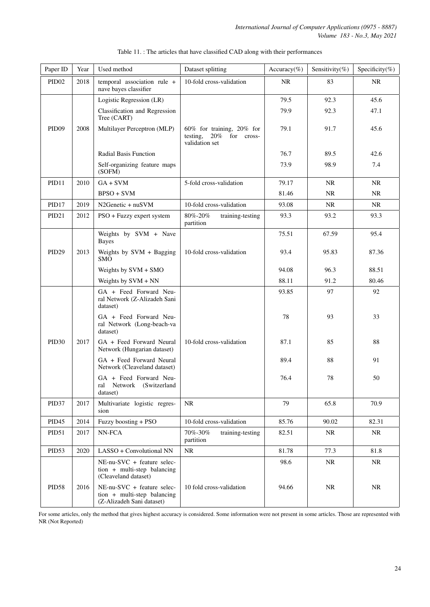<span id="page-23-0"></span>

| Paper ID          | Year | Used method                                                                              | Dataset splitting                                                               | Accuracy(%) | Sensitivity(%) | Specificity(%) |
|-------------------|------|------------------------------------------------------------------------------------------|---------------------------------------------------------------------------------|-------------|----------------|----------------|
| PID <sub>02</sub> | 2018 | temporal association rule +<br>nave bayes classifier                                     | 10-fold cross-validation                                                        | NR          | 83             | <b>NR</b>      |
|                   |      | Logistic Regression (LR)                                                                 |                                                                                 | 79.5        | 92.3           | 45.6           |
|                   |      | Classification and Regression<br>Tree (CART)                                             |                                                                                 | 79.9        | 92.3           | 47.1           |
| PID <sub>09</sub> | 2008 | Multilayer Perceptron (MLP)                                                              | $60\%$ for training, $20\%$ for<br>20% for cross-<br>testing,<br>validation set | 79.1        | 91.7           | 45.6           |
|                   |      | <b>Radial Basis Function</b>                                                             |                                                                                 | 76.7        | 89.5           | 42.6           |
|                   |      | Self-organizing feature maps<br>(SOFM)                                                   |                                                                                 | 73.9        | 98.9           | 7.4            |
| PID11             | 2010 | $GA + SVM$                                                                               | 5-fold cross-validation                                                         | 79.17       | NR             | NR             |
|                   |      | $BPSO + SVM$                                                                             |                                                                                 | 81.46       | NR             | NR             |
| PID17             | 2019 | N2Genetic + nuSVM                                                                        | 10-fold cross-validation                                                        | 93.08       | <b>NR</b>      | <b>NR</b>      |
| PID <sub>21</sub> | 2012 | PSO + Fuzzy expert system                                                                | 80%-20%<br>training-testing<br>partition                                        | 93.3        | 93.2           | 93.3           |
|                   |      | Weights by SVM + Nave<br>Bayes                                                           |                                                                                 | 75.51       | 67.59          | 95.4           |
| PID <sub>29</sub> | 2013 | Weights by SVM + Bagging<br><b>SMO</b>                                                   | 10-fold cross-validation                                                        | 93.4        | 95.83          | 87.36          |
|                   |      | Weights by SVM + SMO                                                                     |                                                                                 | 94.08       | 96.3           | 88.51          |
|                   |      | Weights by SVM + NN                                                                      |                                                                                 | 88.11       | 91.2           | 80.46          |
|                   |      | GA + Feed Forward Neu-<br>ral Network (Z-Alizadeh Sani<br>dataset)                       |                                                                                 | 93.85       | 97             | 92             |
|                   |      | GA + Feed Forward Neu-<br>ral Network (Long-beach-va<br>dataset)                         |                                                                                 | 78          | 93             | 33             |
| PID <sub>30</sub> | 2017 | GA + Feed Forward Neural<br>Network (Hungarian dataset)                                  | 10-fold cross-validation                                                        | 87.1        | 85             | 88             |
|                   |      | GA + Feed Forward Neural<br>Network (Cleaveland dataset)                                 |                                                                                 | 89.4        | 88             | 91             |
|                   |      | GA + Feed Forward Neu-<br>ral Network (Switzerland<br>dataset)                           |                                                                                 | 76.4        | 78             | 50             |
| PID <sub>37</sub> | 2017 | Multivariate logistic regres-<br>sion                                                    | <b>NR</b>                                                                       | 79          | 65.8           | 70.9           |
| PID <sub>45</sub> | 2014 | Fuzzy boosting + PSO                                                                     | 10-fold cross-validation                                                        | 85.76       | 90.02          | 82.31          |
| PID51             | 2017 | NN-FCA                                                                                   | $70\% - 30\%$<br>training-testing<br>partition                                  | 82.51       | <b>NR</b>      | <b>NR</b>      |
| PID53             | 2020 | LASSO + Convolutional NN                                                                 | <b>NR</b>                                                                       | 81.78       | 77.3           | 81.8           |
|                   |      | $NE-nu-SVC + feature selec-$<br>tion + multi-step balancing<br>(Cleaveland dataset)      |                                                                                 | 98.6        | <b>NR</b>      | <b>NR</b>      |
| PID58             | 2016 | $NE-nu-SVC + feature selec-$<br>tion + multi-step balancing<br>(Z-Alizadeh Sani dataset) | 10 fold cross-validation                                                        | 94.66       | <b>NR</b>      | <b>NR</b>      |

# Table 11. : The articles that have classified CAD along with their performances

For some articles, only the method that gives highest accuracy is considered. Some information were not present in some articles. Those are represented with NR (Not Reported)